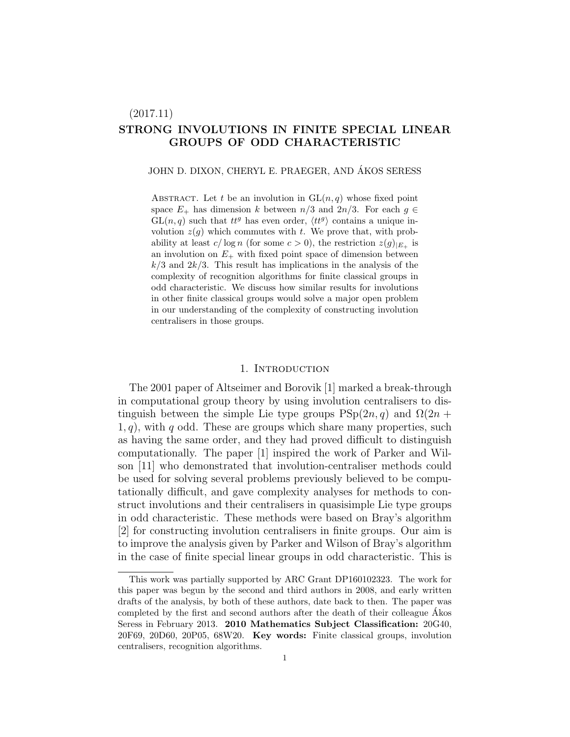# (2017.11) STRONG INVOLUTIONS IN FINITE SPECIAL LINEAR GROUPS OF ODD CHARACTERISTIC

### JOHN D. DIXON, CHERYL E. PRAEGER, AND ÁKOS SERESS

ABSTRACT. Let t be an involution in  $GL(n, q)$  whose fixed point space  $E_+$  has dimension k between  $n/3$  and  $2n/3$ . For each  $g \in$  $GL(n, q)$  such that  $tt^g$  has even order,  $\langle tt^g \rangle$  contains a unique involution  $z(g)$  which commutes with t. We prove that, with probability at least  $c/\log n$  (for some  $c > 0$ ), the restriction  $z(g)_{|E_+}$  is an involution on  $E_{+}$  with fixed point space of dimension between  $k/3$  and  $2k/3$ . This result has implications in the analysis of the complexity of recognition algorithms for finite classical groups in odd characteristic. We discuss how similar results for involutions in other finite classical groups would solve a major open problem in our understanding of the complexity of constructing involution centralisers in those groups.

# 1. INTRODUCTION

The 2001 paper of Altseimer and Borovik [1] marked a break-through in computational group theory by using involution centralisers to distinguish between the simple Lie type groups  $PSp(2n, q)$  and  $\Omega(2n +$  $1, q$ , with q odd. These are groups which share many properties, such as having the same order, and they had proved difficult to distinguish computationally. The paper [1] inspired the work of Parker and Wilson [11] who demonstrated that involution-centraliser methods could be used for solving several problems previously believed to be computationally difficult, and gave complexity analyses for methods to construct involutions and their centralisers in quasisimple Lie type groups in odd characteristic. These methods were based on Bray's algorithm [2] for constructing involution centralisers in finite groups. Our aim is to improve the analysis given by Parker and Wilson of Bray's algorithm in the case of finite special linear groups in odd characteristic. This is

This work was partially supported by ARC Grant DP160102323. The work for this paper was begun by the second and third authors in 2008, and early written drafts of the analysis, by both of these authors, date back to then. The paper was completed by the first and second authors after the death of their colleague Akos ´ Seress in February 2013. 2010 Mathematics Subject Classification: 20G40, 20F69, 20D60, 20P05, 68W20. Key words: Finite classical groups, involution centralisers, recognition algorithms.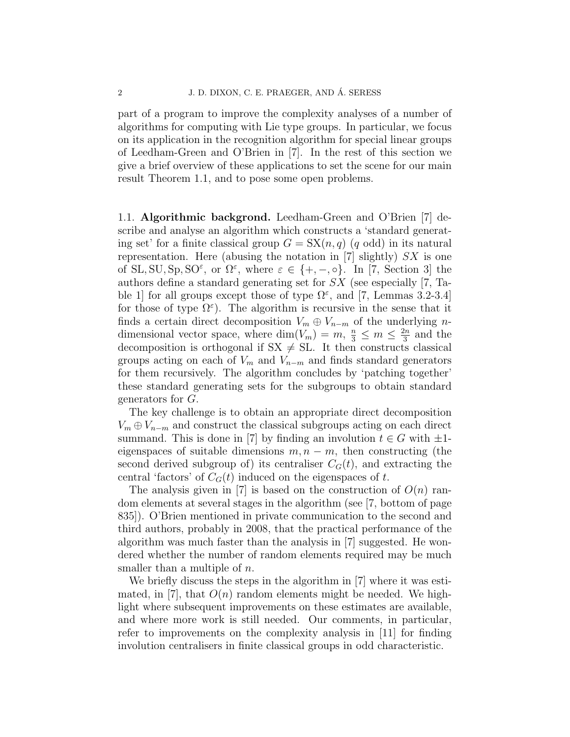part of a program to improve the complexity analyses of a number of algorithms for computing with Lie type groups. In particular, we focus on its application in the recognition algorithm for special linear groups of Leedham-Green and O'Brien in [7]. In the rest of this section we give a brief overview of these applications to set the scene for our main result Theorem 1.1, and to pose some open problems.

1.1. Algorithmic backgrond. Leedham-Green and O'Brien [7] describe and analyse an algorithm which constructs a 'standard generating set' for a finite classical group  $G = SX(n, q)$  (q odd) in its natural representation. Here (abusing the notation in [7] slightly)  $SX$  is one of SL, SU, Sp, SO<sup> $\varepsilon$ </sup>, or  $\Omega^{\varepsilon}$ , where  $\varepsilon \in \{+,-,\circ\}$ . In [7, Section 3] the authors define a standard generating set for SX (see especially [7, Table 1 for all groups except those of type  $\Omega^{\varepsilon}$ , and [7, Lemmas 3.2-3.4] for those of type  $\Omega^{\varepsilon}$ ). The algorithm is recursive in the sense that it finds a certain direct decomposition  $V_m \oplus V_{n-m}$  of the underlying ndimensional vector space, where  $\dim(V_m) = m, \frac{n}{3} \leq m \leq \frac{2n}{3}$  $\frac{2n}{3}$  and the decomposition is orthogonal if  $SX \neq SL$ . It then constructs classical groups acting on each of  $V_m$  and  $V_{n-m}$  and finds standard generators for them recursively. The algorithm concludes by 'patching together' these standard generating sets for the subgroups to obtain standard generators for G.

The key challenge is to obtain an appropriate direct decomposition  $V_m \oplus V_{n-m}$  and construct the classical subgroups acting on each direct summand. This is done in [7] by finding an involution  $t \in G$  with  $\pm 1$ eigenspaces of suitable dimensions  $m, n - m$ , then constructing (the second derived subgroup of) its centraliser  $C<sub>G</sub>(t)$ , and extracting the central 'factors' of  $C_G(t)$  induced on the eigenspaces of t.

The analysis given in [7] is based on the construction of  $O(n)$  random elements at several stages in the algorithm (see [7, bottom of page 835]). O'Brien mentioned in private communication to the second and third authors, probably in 2008, that the practical performance of the algorithm was much faster than the analysis in [7] suggested. He wondered whether the number of random elements required may be much smaller than a multiple of  $n$ .

We briefly discuss the steps in the algorithm in [7] where it was estimated, in [7], that  $O(n)$  random elements might be needed. We highlight where subsequent improvements on these estimates are available, and where more work is still needed. Our comments, in particular, refer to improvements on the complexity analysis in [11] for finding involution centralisers in finite classical groups in odd characteristic.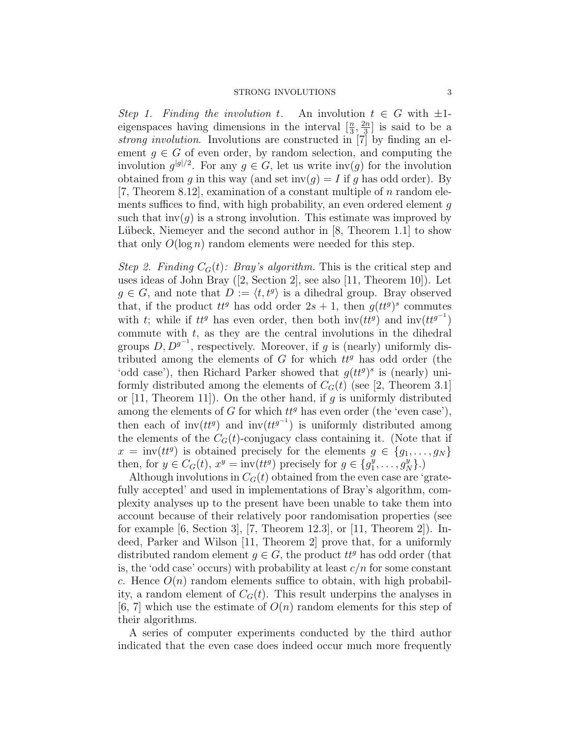Step 1. Finding the involution t. An involution  $t \in G$  with  $\pm 1$ eigenspaces having dimensions in the interval  $\left[\frac{n}{3}, \frac{2n}{3}\right]$  $\frac{2n}{3}$  is said to be a strong involution. Involutions are constructed in [7] by finding an element  $g \in G$  of even order, by random selection, and computing the involution  $g^{|g|/2}$ . For any  $g \in G$ , let us write inv(g) for the involution obtained from g in this way (and set inv(g) = I if g has odd order). By [7, Theorem 8.12], examination of a constant multiple of  $n$  random elements suffices to find, with high probability, an even ordered element  $q$ such that  $inv(g)$  is a strong involution. This estimate was improved by Lübeck, Niemeyer and the second author in  $[8,$  Theorem 1.1 to show that only  $O(\log n)$  random elements were needed for this step.

Step 2. Finding  $C_G(t)$ : Bray's algorithm. This is the critical step and uses ideas of John Bray ([2, Section 2], see also [11, Theorem 10]). Let  $g \in G$ , and note that  $D := \langle t, t^g \rangle$  is a dihedral group. Bray observed that, if the product  $tt^g$  has odd order  $2s + 1$ , then  $g(tt^g)^s$  commutes with t; while if  $tt^g$  has even order, then both inv $(tt^g)$  and inv $(tt^{g^{-1}})$ commute with  $t$ , as they are the central involutions in the dihedral groups  $D, D^{g^{-1}}$ , respectively. Moreover, if g is (nearly) uniformly distributed among the elements of  $G$  for which  $tt^g$  has odd order (the 'odd case'), then Richard Parker showed that  $g(t t^g)$ <sup>s</sup> is (nearly) uniformly distributed among the elements of  $C_G(t)$  (see [2, Theorem 3.1] or  $[11,$  Theorem 11]). On the other hand, if g is uniformly distributed among the elements of G for which  $tt^g$  has even order (the 'even case'), then each of inv $(tt^g)$  and inv $(tt^{g^{-1}})$  is uniformly distributed among the elements of the  $C<sub>G</sub>(t)$ -conjugacy class containing it. (Note that if  $x = inv(tt^g)$  is obtained precisely for the elements  $g \in \{g_1, \ldots, g_N\}$ then, for  $y \in C_G(t)$ ,  $x^y = inv(tt^g)$  precisely for  $g \in \{g_1^y\}$  $\{y_1^y, \ldots, y_N^y\}$ .)

Although involutions in  $C<sub>G</sub>(t)$  obtained from the even case are 'gratefully accepted' and used in implementations of Bray's algorithm, complexity analyses up to the present have been unable to take them into account because of their relatively poor randomisation properties (see for example  $[6, Section 3]$ ,  $[7, Theorem 12.3]$ , or  $[11, Theorem 2]$ . Indeed, Parker and Wilson [11, Theorem 2] prove that, for a uniformly distributed random element  $g \in G$ , the product  $tt^g$  has odd order (that is, the 'odd case' occurs) with probability at least  $c/n$  for some constant c. Hence  $O(n)$  random elements suffice to obtain, with high probability, a random element of  $C_G(t)$ . This result underpins the analyses in [6, 7] which use the estimate of  $O(n)$  random elements for this step of their algorithms.

A series of computer experiments conducted by the third author indicated that the even case does indeed occur much more frequently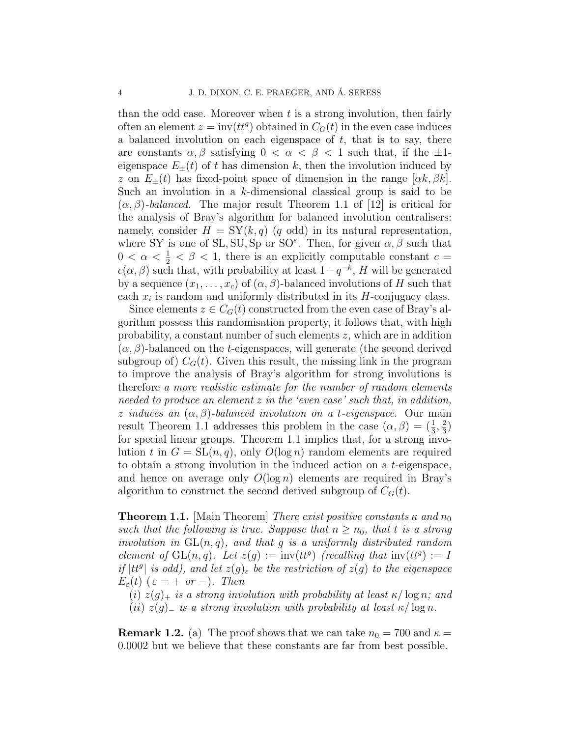than the odd case. Moreover when  $t$  is a strong involution, then fairly often an element  $z = inv(tt^g)$  obtained in  $C_G(t)$  in the even case induces a balanced involution on each eigenspace of  $t$ , that is to say, there are constants  $\alpha, \beta$  satisfying  $0 < \alpha < \beta < 1$  such that, if the  $\pm 1$ eigenspace  $E_{\pm}(t)$  of t has dimension k, then the involution induced by z on  $E_{\pm}(t)$  has fixed-point space of dimension in the range  $[\alpha k, \beta k]$ . Such an involution in a  $k$ -dimensional classical group is said to be  $(\alpha, \beta)$ -balanced. The major result Theorem 1.1 of [12] is critical for the analysis of Bray's algorithm for balanced involution centralisers: namely, consider  $H = SY(k, q)$  (q odd) in its natural representation, where SY is one of SL,  $SU$ ,  $Sp$  or  $SO^{\varepsilon}$ . Then, for given  $\alpha, \beta$  such that  $0 < \alpha < \frac{1}{2} < \beta < 1$ , there is an explicitly computable constant  $c =$  $c(\alpha, \beta)$  such that, with probability at least  $1-q^{-k}$ , H will be generated by a sequence  $(x_1, \ldots, x_c)$  of  $(\alpha, \beta)$ -balanced involutions of H such that each  $x_i$  is random and uniformly distributed in its  $H$ -conjugacy class.

Since elements  $z \in C_G(t)$  constructed from the even case of Bray's algorithm possess this randomisation property, it follows that, with high probability, a constant number of such elements  $z$ , which are in addition  $(\alpha, \beta)$ -balanced on the *t*-eigenspaces, will generate (the second derived subgroup of)  $C_G(t)$ . Given this result, the missing link in the program to improve the analysis of Bray's algorithm for strong involutions is therefore a more realistic estimate for the number of random elements needed to produce an element  $z$  in the 'even case' such that, in addition, z induces an  $(\alpha, \beta)$ -balanced involution on a t-eigenspace. Our main result Theorem 1.1 addresses this problem in the case  $(\alpha, \beta) = (\frac{1}{3}, \frac{2}{3})$  $\frac{2}{3})$ for special linear groups. Theorem 1.1 implies that, for a strong involution t in  $G = SL(n, q)$ , only  $O(\log n)$  random elements are required to obtain a strong involution in the induced action on a t-eigenspace, and hence on average only  $O(\log n)$  elements are required in Bray's algorithm to construct the second derived subgroup of  $C_G(t)$ .

**Theorem 1.1.** [Main Theorem] There exist positive constants  $\kappa$  and  $n_0$ such that the following is true. Suppose that  $n \geq n_0$ , that t is a strong involution in  $GL(n, q)$ , and that q is a uniformly distributed random element of  $GL(n, q)$ . Let  $z(g) := inv(tt^g)$  (recalling that  $inv(tt^g) := I$ if  $|tt^g|$  is odd), and let  $z(g)_{\varepsilon}$  be the restriction of  $z(g)$  to the eigenspace  $E_{\varepsilon}(t)$  ( $\varepsilon = +$  or -). Then

(i)  $z(g)_+$  is a strong involution with probability at least  $\kappa / \log n$ ; and (ii)  $z(g)$ <sub>−</sub> is a strong involution with probability at least  $\kappa / \log n$ .

**Remark 1.2.** (a) The proof shows that we can take  $n_0 = 700$  and  $\kappa =$ 0.0002 but we believe that these constants are far from best possible.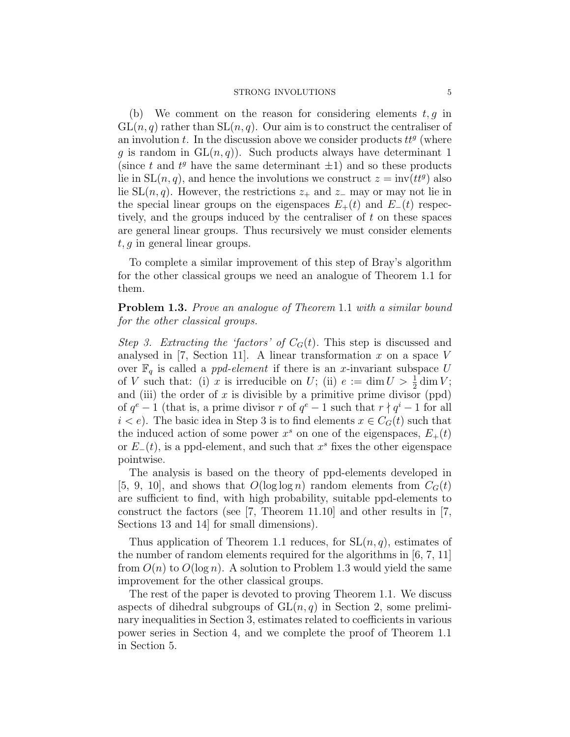#### STRONG INVOLUTIONS 5

(b) We comment on the reason for considering elements  $t, g$  in  $GL(n, q)$  rather than  $SL(n, q)$ . Our aim is to construct the centraliser of an involution  $t$ . In the discussion above we consider products  $tt^g$  (where g is random in  $GL(n, q)$ . Such products always have determinant 1 (since t and  $t^g$  have the same determinant  $\pm 1$ ) and so these products lie in  $SL(n, q)$ , and hence the involutions we construct  $z = inv(tt^g)$  also lie SL $(n, q)$ . However, the restrictions  $z_+$  and  $z_-$  may or may not lie in the special linear groups on the eigenspaces  $E_{+}(t)$  and  $E_{-}(t)$  respectively, and the groups induced by the centraliser of t on these spaces are general linear groups. Thus recursively we must consider elements  $t, g$  in general linear groups.

To complete a similar improvement of this step of Bray's algorithm for the other classical groups we need an analogue of Theorem 1.1 for them.

Problem 1.3. Prove an analogue of Theorem 1.1 with a similar bound for the other classical groups.

Step 3. Extracting the 'factors' of  $C_G(t)$ . This step is discussed and analysed in [7, Section 11]. A linear transformation x on a space V over  $\mathbb{F}_q$  is called a *ppd-element* if there is an x-invariant subspace U of V such that: (i) x is irreducible on U; (ii)  $e := \dim U > \frac{1}{2} \dim V$ ; and (iii) the order of x is divisible by a primitive prime divisor (ppd) of  $q^e - 1$  (that is, a prime divisor r of  $q^e - 1$  such that  $r \nmid q^i - 1$  for all  $i < e$ ). The basic idea in Step 3 is to find elements  $x \in C<sub>G</sub>(t)$  such that the induced action of some power  $x^s$  on one of the eigenspaces,  $E_+(t)$ or  $E_-(t)$ , is a ppd-element, and such that  $x^s$  fixes the other eigenspace pointwise.

The analysis is based on the theory of ppd-elements developed in [5, 9, 10], and shows that  $O(\log \log n)$  random elements from  $C_G(t)$ are sufficient to find, with high probability, suitable ppd-elements to construct the factors (see [7, Theorem 11.10] and other results in [7, Sections 13 and 14] for small dimensions).

Thus application of Theorem 1.1 reduces, for  $SL(n, q)$ , estimates of the number of random elements required for the algorithms in [6, 7, 11] from  $O(n)$  to  $O(\log n)$ . A solution to Problem 1.3 would yield the same improvement for the other classical groups.

The rest of the paper is devoted to proving Theorem 1.1. We discuss aspects of dihedral subgroups of  $GL(n, q)$  in Section 2, some preliminary inequalities in Section 3, estimates related to coefficients in various power series in Section 4, and we complete the proof of Theorem 1.1 in Section 5.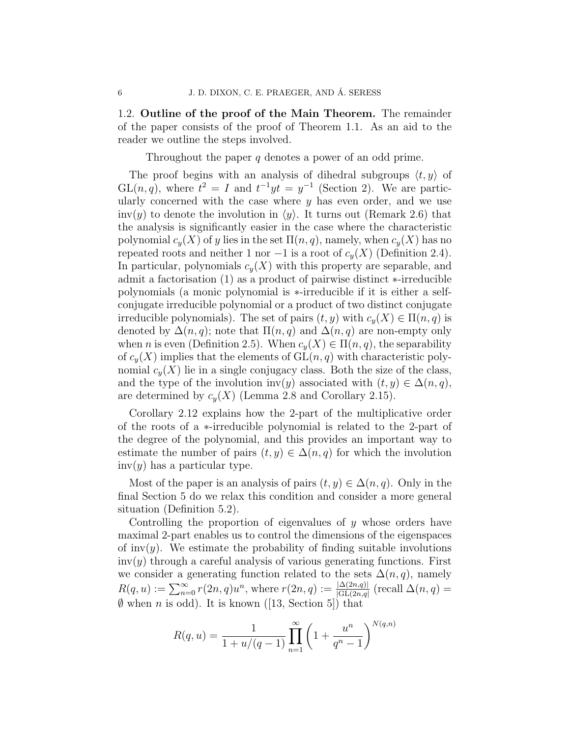1.2. Outline of the proof of the Main Theorem. The remainder of the paper consists of the proof of Theorem 1.1. As an aid to the reader we outline the steps involved.

Throughout the paper  $q$  denotes a power of an odd prime.

The proof begins with an analysis of dihedral subgroups  $\langle t, y \rangle$  of  $GL(n, q)$ , where  $t^2 = I$  and  $t^{-1}yt = y^{-1}$  (Section 2). We are particularly concerned with the case where  $y$  has even order, and we use inv(y) to denote the involution in  $\langle y \rangle$ . It turns out (Remark 2.6) that the analysis is significantly easier in the case where the characteristic polynomial  $c_y(X)$  of y lies in the set  $\Pi(n, q)$ , namely, when  $c_y(X)$  has no repeated roots and neither 1 nor  $-1$  is a root of  $c_y(X)$  (Definition 2.4). In particular, polynomials  $c_y(X)$  with this property are separable, and admit a factorisation (1) as a product of pairwise distinct ∗-irreducible polynomials (a monic polynomial is ∗-irreducible if it is either a selfconjugate irreducible polynomial or a product of two distinct conjugate irreducible polynomials). The set of pairs  $(t, y)$  with  $c_y(X) \in \Pi(n, q)$  is denoted by  $\Delta(n,q)$ ; note that  $\Pi(n,q)$  and  $\Delta(n,q)$  are non-empty only when n is even (Definition 2.5). When  $c_y(X) \in \Pi(n,q)$ , the separability of  $c_y(X)$  implies that the elements of  $GL(n, q)$  with characteristic polynomial  $c_y(X)$  lie in a single conjugacy class. Both the size of the class, and the type of the involution inv(y) associated with  $(t, y) \in \Delta(n, q)$ , are determined by  $c_y(X)$  (Lemma 2.8 and Corollary 2.15).

Corollary 2.12 explains how the 2-part of the multiplicative order of the roots of a ∗-irreducible polynomial is related to the 2-part of the degree of the polynomial, and this provides an important way to estimate the number of pairs  $(t, y) \in \Delta(n, q)$  for which the involution  $inv(y)$  has a particular type.

Most of the paper is an analysis of pairs  $(t, y) \in \Delta(n, q)$ . Only in the final Section 5 do we relax this condition and consider a more general situation (Definition 5.2).

Controlling the proportion of eigenvalues of  $y$  whose orders have maximal 2-part enables us to control the dimensions of the eigenspaces of inv(y). We estimate the probability of finding suitable involutions  $inv(y)$  through a careful analysis of various generating functions. First we consider a generating function related to the sets  $\Delta(n, q)$ , namely  $R(q, u) := \sum_{n=0}^{\infty} r(2n, q)u^n$ , where  $r(2n, q) := \frac{|\Delta(2n, q)|}{|GL(2n, q)}$  (recall  $\Delta(n, q) =$  $\emptyset$  when *n* is odd). It is known ([13, Section 5]) that

$$
R(q, u) = \frac{1}{1 + u/(q - 1)} \prod_{n=1}^{\infty} \left( 1 + \frac{u^n}{q^n - 1} \right)^{N(q, n)}
$$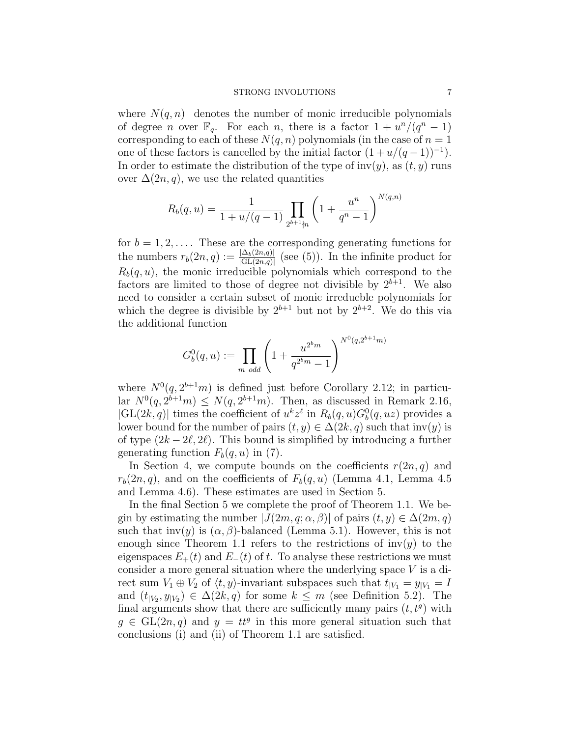### STRONG INVOLUTIONS 7

where  $N(q, n)$  denotes the number of monic irreducible polynomials of degree *n* over  $\mathbb{F}_q$ . For each *n*, there is a factor  $1 + \frac{u^n}{q^n - 1}$ corresponding to each of these  $N(q, n)$  polynomials (in the case of  $n = 1$ ) one of these factors is cancelled by the initial factor  $(1 + u/(q - 1))^{-1}$ . In order to estimate the distribution of the type of  $inv(y)$ , as  $(t, y)$  runs over  $\Delta(2n, q)$ , we use the related quantities

$$
R_b(q, u) = \frac{1}{1 + u/(q - 1)} \prod_{2^{b+1} \nmid n} \left( 1 + \frac{u^n}{q^n - 1} \right)^{N(q, n)}
$$

for  $b = 1, 2, \ldots$ . These are the corresponding generating functions for the numbers  $r_b(2n, q) := \frac{|\Delta_b(2n, q)|}{|\mathrm{GL}(2n, q)|}$  (see (5)). In the infinite product for  $R_b(q, u)$ , the monic irreducible polynomials which correspond to the factors are limited to those of degree not divisible by  $2^{b+1}$ . We also need to consider a certain subset of monic irreducble polynomials for which the degree is divisible by  $2^{b+1}$  but not by  $2^{b+2}$ . We do this via the additional function

$$
G_b^0(q, u) := \prod_{m \text{ odd}} \left( 1 + \frac{u^{2^b m}}{q^{2^b m} - 1} \right)^{N^0(q, 2^{b+1} m)}
$$

where  $N^0(q, 2^{b+1}m)$  is defined just before Corollary 2.12; in particular  $N^0(q, 2^{b+1}m) \leq N(q, 2^{b+1}m)$ . Then, as discussed in Remark 2.16,  $|GL(2k, q)|$  times the coefficient of  $u^k z^{\ell}$  in  $R_b(q, u)G_b^0(q, uz)$  provides a lower bound for the number of pairs  $(t, y) \in \Delta(2k, q)$  such that inv(y) is of type  $(2k - 2\ell, 2\ell)$ . This bound is simplified by introducing a further generating function  $F_b(q, u)$  in (7).

In Section 4, we compute bounds on the coefficients  $r(2n, q)$  and  $r_b(2n, q)$ , and on the coefficients of  $F_b(q, u)$  (Lemma 4.1, Lemma 4.5 and Lemma 4.6). These estimates are used in Section 5.

In the final Section 5 we complete the proof of Theorem 1.1. We begin by estimating the number  $|J(2m, q; \alpha, \beta)|$  of pairs  $(t, y) \in \Delta(2m, q)$ such that  $inv(y)$  is  $(\alpha, \beta)$ -balanced (Lemma 5.1). However, this is not enough since Theorem 1.1 refers to the restrictions of  $inv(y)$  to the eigenspaces  $E_{+}(t)$  and  $E_{-}(t)$  of t. To analyse these restrictions we must consider a more general situation where the underlying space V is a direct sum  $V_1 \oplus V_2$  of  $\langle t, y \rangle$ -invariant subspaces such that  $t_{|V_1} = y_{|V_1} = I$ and  $(t_{|V_2}, y_{|V_2}) \in \Delta(2k, q)$  for some  $k \leq m$  (see Definition 5.2). The final arguments show that there are sufficiently many pairs  $(t, t<sup>g</sup>)$  with  $g \in GL(2n, q)$  and  $y = tt^g$  in this more general situation such that conclusions (i) and (ii) of Theorem 1.1 are satisfied.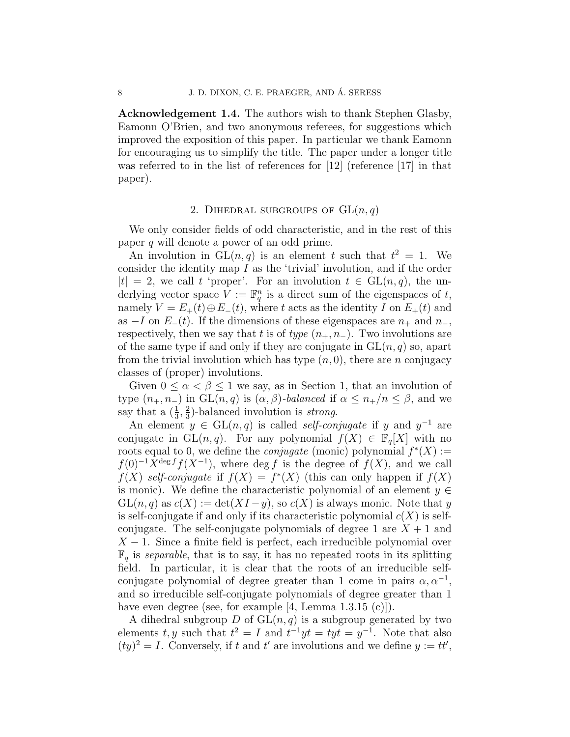Acknowledgement 1.4. The authors wish to thank Stephen Glasby, Eamonn O'Brien, and two anonymous referees, for suggestions which improved the exposition of this paper. In particular we thank Eamonn for encouraging us to simplify the title. The paper under a longer title was referred to in the list of references for [12] (reference [17] in that paper).

# 2. DIHEDRAL SUBGROUPS OF  $GL(n,q)$

We only consider fields of odd characteristic, and in the rest of this paper q will denote a power of an odd prime.

An involution in  $GL(n, q)$  is an element t such that  $t^2 = 1$ . We consider the identity map  $I$  as the 'trivial' involution, and if the order  $|t| = 2$ , we call t 'proper'. For an involution  $t \in GL(n, q)$ , the underlying vector space  $V := \mathbb{F}_q^n$  is a direct sum of the eigenspaces of t, namely  $V = E_{+}(t) \oplus E_{-}(t)$ , where t acts as the identity I on  $E_{+}(t)$  and as  $-I$  on  $E_{-}(t)$ . If the dimensions of these eigenspaces are  $n_{+}$  and  $n_{-}$ , respectively, then we say that t is of type  $(n_+, n_-)$ . Two involutions are of the same type if and only if they are conjugate in  $GL(n, q)$  so, apart from the trivial involution which has type  $(n, 0)$ , there are n conjugacy classes of (proper) involutions.

Given  $0 \leq \alpha < \beta \leq 1$  we say, as in Section 1, that an involution of type  $(n_+, n_-)$  in  $GL(n, q)$  is  $(\alpha, \beta)$ -balanced if  $\alpha \leq n_+/n \leq \beta$ , and we say that a  $\left(\frac{1}{3}, \frac{2}{3}\right)$  $\frac{2}{3}$ )-balanced involution is *strong*.

An element  $y \in GL(n,q)$  is called *self-conjugate* if y and  $y^{-1}$  are conjugate in  $GL(n, q)$ . For any polynomial  $f(X) \in \mathbb{F}_q[X]$  with no roots equal to 0, we define the *conjugate* (monic) polynomial  $f^*(X) :=$  $f(0)^{-1}X^{\deg f}f(X^{-1}),$  where  $\deg f$  is the degree of  $f(X)$ , and we call  $f(X)$  self-conjugate if  $f(X) = f^{*}(X)$  (this can only happen if  $f(X)$ ) is monic). We define the characteristic polynomial of an element  $y \in$  $GL(n, q)$  as  $c(X) := det(XI - y)$ , so  $c(X)$  is always monic. Note that y is self-conjugate if and only if its characteristic polynomial  $c(X)$  is selfconjugate. The self-conjugate polynomials of degree 1 are  $X + 1$  and  $X - 1$ . Since a finite field is perfect, each irreducible polynomial over  $\mathbb{F}_q$  is separable, that is to say, it has no repeated roots in its splitting field. In particular, it is clear that the roots of an irreducible selfconjugate polynomial of degree greater than 1 come in pairs  $\alpha, \alpha^{-1}$ , and so irreducible self-conjugate polynomials of degree greater than 1 have even degree (see, for example [4, Lemma 1.3.15 (c)]).

A dihedral subgroup D of  $GL(n, q)$  is a subgroup generated by two elements t, y such that  $t^2 = I$  and  $t^{-1}yt = tyt = y^{-1}$ . Note that also  $(ty)^2 = I$ . Conversely, if t and t' are involutions and we define  $y := tt'$ ,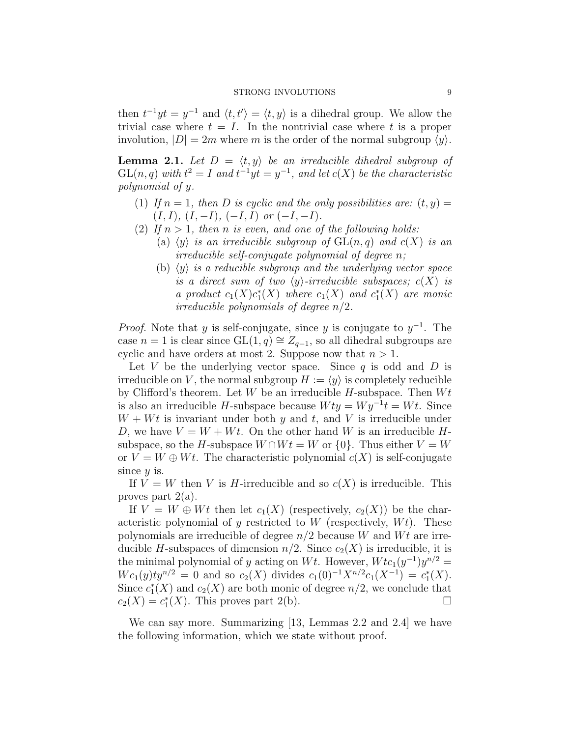then  $t^{-1}yt = y^{-1}$  and  $\langle t, t'\rangle = \langle t, y \rangle$  is a dihedral group. We allow the trivial case where  $t = I$ . In the nontrivial case where t is a proper involution,  $|D| = 2m$  where m is the order of the normal subgroup  $\langle y \rangle$ .

**Lemma 2.1.** Let  $D = \langle t, y \rangle$  be an irreducible dihedral subgroup of  $GL(n, q)$  with  $t^2 = I$  and  $t^{-1}yt = y^{-1}$ , and let  $c(X)$  be the characteristic polynomial of y.

- (1) If  $n = 1$ , then D is cyclic and the only possibilities are:  $(t, y) =$  $(I, I), (I, -I), (-I, I)$  or  $(-I, -I).$
- (2) If  $n > 1$ , then n is even, and one of the following holds:
	- (a)  $\langle y \rangle$  is an irreducible subgroup of  $GL(n, q)$  and  $c(X)$  is an irreducible self-conjugate polynomial of degree n;
	- (b)  $\langle y \rangle$  is a reducible subgroup and the underlying vector space is a direct sum of two  $\langle y \rangle$ -irreducible subspaces;  $c(X)$  is a product  $c_1(X)c_1^*(X)$  where  $c_1(X)$  and  $c_1^*(X)$  are monic irreducible polynomials of degree  $n/2$ .

*Proof.* Note that y is self-conjugate, since y is conjugate to  $y^{-1}$ . The case  $n = 1$  is clear since  $GL(1, q) \cong Z_{q-1}$ , so all dihedral subgroups are cyclic and have orders at most 2. Suppose now that  $n > 1$ .

Let V be the underlying vector space. Since  $q$  is odd and  $D$  is irreducible on V, the normal subgroup  $H := \langle y \rangle$  is completely reducible by Clifford's theorem. Let  $W$  be an irreducible  $H$ -subspace. Then  $Wt$ is also an irreducible H-subspace because  $Wty = Wy^{-1}t = Wt$ . Since  $W + Wt$  is invariant under both y and t, and V is irreducible under D, we have  $V = W + Wt$ . On the other hand W is an irreducible Hsubspace, so the H-subspace  $W \cap W_t = W$  or  $\{0\}$ . Thus either  $V = W$ or  $V = W \oplus Wt$ . The characteristic polynomial  $c(X)$  is self-conjugate since  $y$  is.

If  $V = W$  then V is H-irreducible and so  $c(X)$  is irreducible. This proves part  $2(a)$ .

If  $V = W \oplus Wt$  then let  $c_1(X)$  (respectively,  $c_2(X)$ ) be the characteristic polynomial of  $\gamma$  restricted to W (respectively,  $Wt$ ). These polynomials are irreducible of degree  $n/2$  because W and Wt are irreducible H-subspaces of dimension  $n/2$ . Since  $c_2(X)$  is irreducible, it is the minimal polynomial of y acting on Wt. However,  $Wtc_1(y^{-1})y^{n/2} =$  $Wc_1(y)ty^{n/2} = 0$  and so  $c_2(X)$  divides  $c_1(0)^{-1}X^{n/2}c_1(X^{-1}) = c_1^*(X)$ . Since  $c_1^*(X)$  and  $c_2(X)$  are both monic of degree  $n/2$ , we conclude that  $c_2(X) = c_1^*(X)$ . This proves part 2(b).

We can say more. Summarizing [13, Lemmas 2.2 and 2.4] we have the following information, which we state without proof.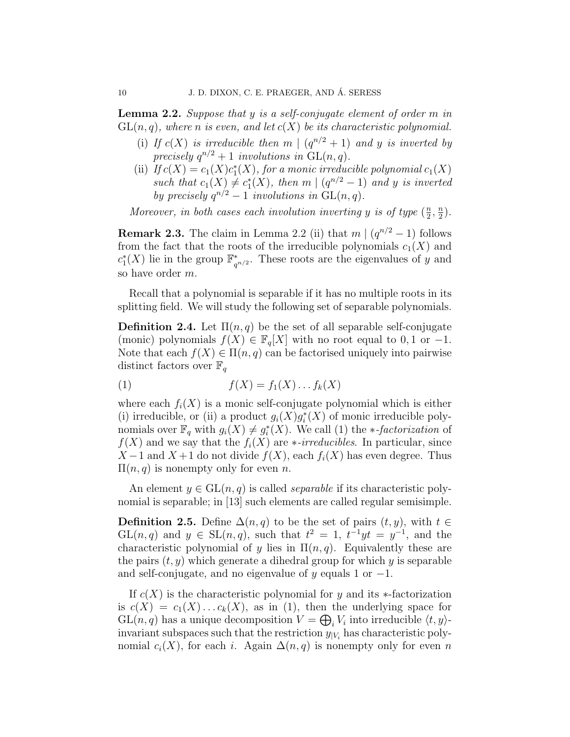**Lemma 2.2.** Suppose that y is a self-conjugate element of order  $m$  in  $GL(n, q)$ , where n is even, and let  $c(X)$  be its characteristic polynomial.

- (i) If  $c(X)$  is irreducible then m  $|(q^{n/2}+1)$  and y is inverted by precisely  $q^{n/2} + 1$  involutions in  $GL(n, q)$ .
- (ii) If  $c(X) = c_1(X)c_1^*(X)$ , for a monic irreducible polynomial  $c_1(X)$ such that  $c_1(X) \neq c_1^*(X)$ , then  $m \mid (q^{n/2} - 1)$  and y is inverted by precisely  $q^{n/2} - 1$  involutions in  $GL(n, q)$ .

Moreover, in both cases each involution inverting y is of type  $(\frac{n}{2})$  $\frac{n}{2}, \frac{n}{2}$  $\frac{n}{2}$ .

**Remark 2.3.** The claim in Lemma 2.2 (ii) that  $m \mid (q^{n/2} - 1)$  follows from the fact that the roots of the irreducible polynomials  $c_1(X)$  and  $c_1^*(X)$  lie in the group  $\mathbb{F}_q^*$  $_{q^{n/2}}^*$ . These roots are the eigenvalues of y and so have order m.

Recall that a polynomial is separable if it has no multiple roots in its splitting field. We will study the following set of separable polynomials.

**Definition 2.4.** Let  $\Pi(n,q)$  be the set of all separable self-conjugate (monic) polynomials  $f(X) \in \mathbb{F}_q[X]$  with no root equal to 0, 1 or -1. Note that each  $f(X) \in \Pi(n,q)$  can be factorised uniquely into pairwise distinct factors over  $\mathbb{F}_q$ 

$$
(1) \t\t f(X) = f_1(X) \dots f_k(X)
$$

where each  $f_i(X)$  is a monic self-conjugate polynomial which is either (i) irreducible, or (ii) a product  $g_i(X)g_i^*(X)$  of monic irreducible polynomials over  $\mathbb{F}_q$  with  $g_i(X) \neq g_i^*(X)$ . We call (1) the *∗-factorization* of  $f(X)$  and we say that the  $f_i(X)$  are \*-irreducibles. In particular, since  $X-1$  and  $X+1$  do not divide  $f(X)$ , each  $f_i(X)$  has even degree. Thus  $\Pi(n,q)$  is nonempty only for even n.

An element  $y \in GL(n, q)$  is called *separable* if its characteristic polynomial is separable; in [13] such elements are called regular semisimple.

**Definition 2.5.** Define  $\Delta(n,q)$  to be the set of pairs  $(t, y)$ , with  $t \in$  $GL(n, q)$  and  $y \in SL(n, q)$ , such that  $t^2 = 1$ ,  $t^{-1}yt = y^{-1}$ , and the characteristic polynomial of y lies in  $\Pi(n,q)$ . Equivalently these are the pairs  $(t, y)$  which generate a dihedral group for which y is separable and self-conjugate, and no eigenvalue of y equals 1 or  $-1$ .

If  $c(X)$  is the characteristic polynomial for y and its  $\ast$ -factorization is  $c(X) = c_1(X) \dots c_k(X)$ , as in (1), then the underlying space for  $GL(n, q)$  has a unique decomposition  $V = \bigoplus_i V_i$  into irreducible  $\langle t, y \rangle$ invariant subspaces such that the restriction  $y_{|V_i}$  has characteristic polynomial  $c_i(X)$ , for each i. Again  $\Delta(n,q)$  is nonempty only for even n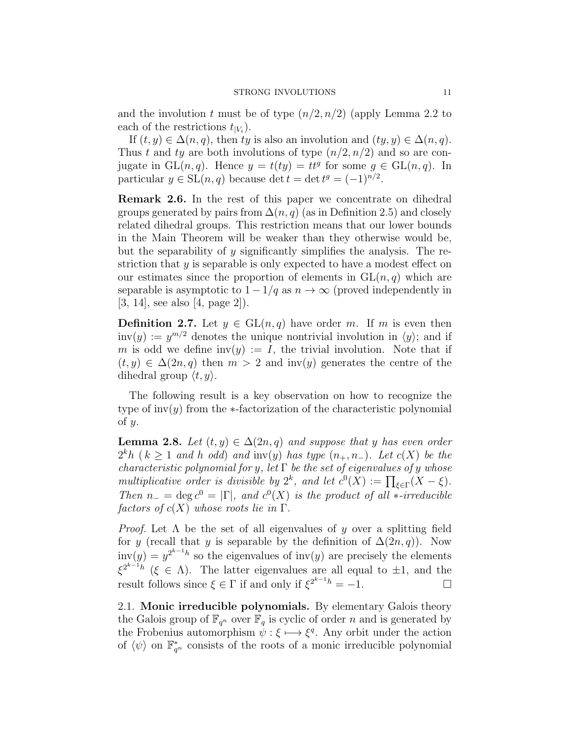and the involution t must be of type  $(n/2, n/2)$  (apply Lemma 2.2 to each of the restrictions  $t_{|V_i}$ .

If  $(t, y) \in \Delta(n, q)$ , then ty is also an involution and  $(ty, y) \in \Delta(n, q)$ . Thus t and ty are both involutions of type  $(n/2, n/2)$  and so are conjugate in  $GL(n, q)$ . Hence  $y = t(ty) = tt^g$  for some  $g \in GL(n, q)$ . In particular  $y \in SL(n, q)$  because det  $t = \det t^g = (-1)^{n/2}$ .

Remark 2.6. In the rest of this paper we concentrate on dihedral groups generated by pairs from  $\Delta(n, q)$  (as in Definition 2.5) and closely related dihedral groups. This restriction means that our lower bounds in the Main Theorem will be weaker than they otherwise would be, but the separability of  $\gamma$  significantly simplifies the analysis. The restriction that y is separable is only expected to have a modest effect on our estimates since the proportion of elements in  $GL(n, q)$  which are separable is asymptotic to  $1 - 1/q$  as  $n \to \infty$  (proved independently in [3, 14], see also [4, page 2]).

**Definition 2.7.** Let  $y \in GL(n,q)$  have order m. If m is even then  $inv(y) := y^{m/2}$  denotes the unique nontrivial involution in  $\langle y \rangle$ ; and if m is odd we define  $inv(y) := I$ , the trivial involution. Note that if  $(t, y) \in \Delta(2n, q)$  then  $m > 2$  and inv(y) generates the centre of the dihedral group  $\langle t, y \rangle$ .

The following result is a key observation on how to recognize the type of  $inv(y)$  from the  $\ast$ -factorization of the characteristic polynomial of  $y$ .

**Lemma 2.8.** Let  $(t, y) \in \Delta(2n, q)$  and suppose that y has even order  $2<sup>k</sup>h$  ( $k \geq 1$  and h odd) and inv(y) has type  $(n_+, n_-)$ . Let  $c(X)$  be the characteristic polynomial for y, let  $\Gamma$  be the set of eigenvalues of y whose multiplicative order is divisible by  $2^k$ , and let  $c^0(X) := \prod_{\xi \in \Gamma} (X - \xi)$ . Then  $n_-=\deg c^0=|\Gamma|$ , and  $c^0(X)$  is the product of all  $*$ -irreducible factors of  $c(X)$  whose roots lie in  $\Gamma$ .

*Proof.* Let  $\Lambda$  be the set of all eigenvalues of y over a splitting field for y (recall that y is separable by the definition of  $\Delta(2n, q)$ ). Now  $inv(y) = y^{2^{k-1}h}$  so the eigenvalues of  $inv(y)$  are precisely the elements  $\xi^{2^{k-1}h}$  ( $\xi \in \Lambda$ ). The latter eigenvalues are all equal to  $\pm 1$ , and the result follows since  $\xi \in \Gamma$  if and only if  $\xi^{2^{k-1}h} = -1$ .

2.1. Monic irreducible polynomials. By elementary Galois theory the Galois group of  $\mathbb{F}_{q^n}$  over  $\mathbb{F}_q$  is cyclic of order n and is generated by the Frobenius automorphism  $\psi : \xi \longmapsto \xi^q$ . Any orbit under the action of  $\langle \psi \rangle$  on  $\mathbb{F}_{q^n}^*$  consists of the roots of a monic irreducible polynomial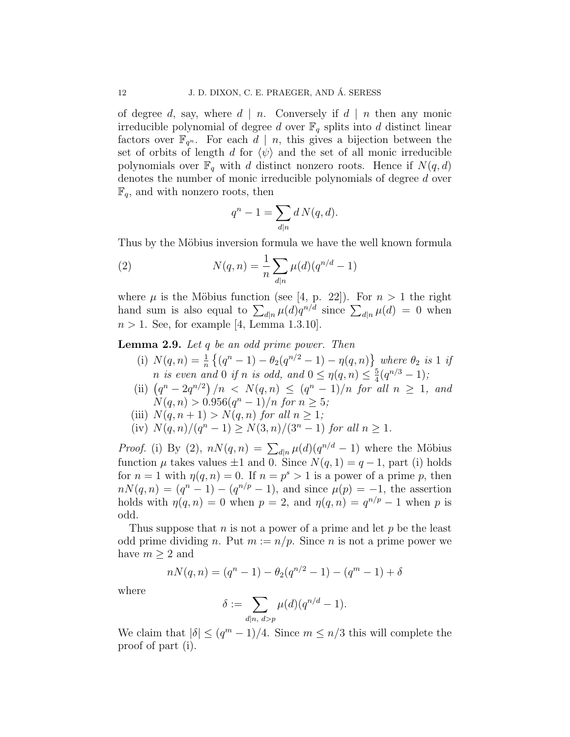of degree d, say, where  $d \mid n$ . Conversely if  $d \mid n$  then any monic irreducible polynomial of degree d over  $\mathbb{F}_q$  splits into d distinct linear factors over  $\mathbb{F}_{q^n}$ . For each  $d \mid n$ , this gives a bijection between the set of orbits of length d for  $\langle \psi \rangle$  and the set of all monic irreducible polynomials over  $\mathbb{F}_q$  with d distinct nonzero roots. Hence if  $N(q, d)$ denotes the number of monic irreducible polynomials of degree d over  $\mathbb{F}_q$ , and with nonzero roots, then

$$
q^n - 1 = \sum_{d|n} d N(q, d).
$$

Thus by the Möbius inversion formula we have the well known formula

(2) 
$$
N(q, n) = \frac{1}{n} \sum_{d|n} \mu(d) (q^{n/d} - 1)
$$

where  $\mu$  is the Möbius function (see [4, p. 22]). For  $n > 1$  the right hand sum is also equal to  $\sum_{d|n} \mu(d)q^{n/d}$  since  $\sum_{d|n} \mu(d) = 0$  when  $n > 1$ . See, for example [4, Lemma 1.3.10].

Lemma 2.9. Let q be an odd prime power. Then

- (i)  $N(q, n) = \frac{1}{n} \left\{ (q^n 1) \theta_2(q^{n/2} 1) \eta(q, n) \right\}$  where  $\theta_2$  is 1 if *n* is even and 0 if *n* is odd, and  $0 \le \eta(q, n) \le \frac{5}{4}$  $\frac{5}{4}(q^{n/3}-1);$
- (ii)  $(q^{n} 2q^{n/2})/n < N(q, n) \leq (q^{n} 1)/n$  for all  $n \geq 1$ , and  $N(q, n) > 0.956(q^{n} - 1)/n$  for  $n \geq 5$ ;
- (iii)  $N(q, n + 1) > N(q, n)$  for all  $n \geq 1$ ;

(iv) 
$$
N(q, n)/(q^n - 1) \ge N(3, n)/(3^n - 1)
$$
 for all  $n \ge 1$ .

*Proof.* (i) By (2),  $nN(q, n) = \sum_{d|n} \mu(d)(q^{n/d} - 1)$  where the Möbius function  $\mu$  takes values  $\pm 1$  and 0. Since  $N(q, 1) = q - 1$ , part (i) holds for  $n = 1$  with  $\eta(q, n) = 0$ . If  $n = p^s > 1$  is a power of a prime p, then  $n(N(q, n) = (q^{n} - 1) - (q^{n/p} - 1)$ , and since  $\mu(p) = -1$ , the assertion holds with  $\eta(q, n) = 0$  when  $p = 2$ , and  $\eta(q, n) = q^{n/p} - 1$  when p is odd.

Thus suppose that  $n$  is not a power of a prime and let  $p$  be the least odd prime dividing n. Put  $m := n/p$ . Since n is not a prime power we have  $m \geq 2$  and

$$
nN(q, n) = (q^{n} - 1) - \theta_2(q^{n/2} - 1) - (q^{m} - 1) + \delta
$$

where

$$
\delta := \sum_{d|n, d>p} \mu(d)(q^{n/d} - 1).
$$

We claim that  $|\delta| \leq (q^m - 1)/4$ . Since  $m \leq n/3$  this will complete the proof of part (i).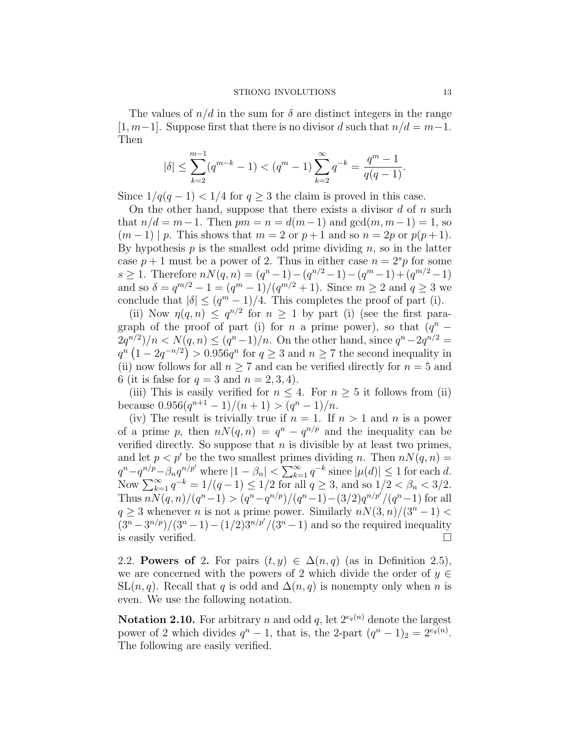The values of  $n/d$  in the sum for  $\delta$  are distinct integers in the range [1, m−1]. Suppose first that there is no divisor d such that  $n/d = m-1$ . Then

$$
|\delta| \le \sum_{k=2}^{m-1} (q^{m-k} - 1) < (q^m - 1) \sum_{k=2}^{\infty} q^{-k} = \frac{q^m - 1}{q(q-1)}.
$$

Since  $1/q(q-1) < 1/4$  for  $q > 3$  the claim is proved in this case.

On the other hand, suppose that there exists a divisor  $d$  of  $n$  such that  $n/d = m-1$ . Then  $pm = n = d(m-1)$  and  $gcd(m, m-1) = 1$ , so  $(m-1) | p$ . This shows that  $m = 2$  or  $p + 1$  and so  $n = 2p$  or  $p(p+1)$ . By hypothesis  $p$  is the smallest odd prime dividing  $n$ , so in the latter case  $p + 1$  must be a power of 2. Thus in either case  $n = 2<sup>s</sup>p$  for some s > 1. Therefore  $nN(q, n) = (q^n - 1) - (q^{n/2} - 1) - (q^m - 1) + (q^{m/2} - 1)$ and so  $\delta = q^{m/2} - 1 = (q^m - 1)/(q^{m/2} + 1)$ . Since  $m \ge 2$  and  $q \ge 3$  we conclude that  $|\delta| \leq (q^m - 1)/4$ . This completes the proof of part (i).

(ii) Now  $\eta(q, n) \leq q^{n/2}$  for  $n \geq 1$  by part (i) (see the first paragraph of the proof of part (i) for n a prime power), so that  $(q^n 2q^{n/2}$ )/n <  $N(q, n) \le (q^{n} - 1)/n$ . On the other hand, since  $q^{n} - 2q^{n/2} =$  $q^{n} (1 - 2q^{-n/2}) > 0.956q^{n}$  for  $q \ge 3$  and  $n \ge 7$  the second inequality in (ii) now follows for all  $n \geq 7$  and can be verified directly for  $n = 5$  and 6 (it is false for  $q = 3$  and  $n = 2, 3, 4$ ).

(iii) This is easily verified for  $n \leq 4$ . For  $n \geq 5$  it follows from (ii) because  $0.956(q^{n+1}-1)/(n+1) > (q^n-1)/n$ .

(iv) The result is trivially true if  $n = 1$ . If  $n > 1$  and n is a power of a prime p, then  $nN(q, n) = q^n - q^{n/p}$  and the inequality can be verified directly. So suppose that  $n$  is divisible by at least two primes, and let  $p < p'$  be the two smallest primes dividing n. Then  $n(n, n) =$  $q^n - q^{n/p} - \beta_n q^{n/p'}$  where  $|1 - \beta_n| < \sum_{k=1}^{\infty} q^{-k}$  since  $|\mu(d)| \leq 1$  for each d. Now  $\sum_{k=1}^{\infty} q^{-k} = 1/(q-1) \leq 1/2$  for all  $q \geq 3$ , and so  $1/2 < \beta_n < 3/2$ . Thus  $nN(q, n)/(q^n-1) > (q^n - q^{n/p})/(q^n-1) - (3/2)q^{n/p'}/(q^n-1)$  for all  $q \geq 3$  whenever n is not a prime power. Similarly  $n(N(3, n)/(3^n-1))$  $(3^{n} - 3^{n/p})/(3^{n} - 1) - (1/2)3^{n/p'}/(3^{n} - 1)$  and so the required inequality is easily verified.

2.2. **Powers of** 2. For pairs  $(t, y) \in \Delta(n, q)$  (as in Definition 2.5), we are concerned with the powers of 2 which divide the order of  $y \in$  $SL(n, q)$ . Recall that q is odd and  $\Delta(n, q)$  is nonempty only when n is even. We use the following notation.

**Notation 2.10.** For arbitrary n and odd q, let  $2^{e_q(n)}$  denote the largest power of 2 which divides  $q^{n} - 1$ , that is, the 2-part  $(q^{n} - 1)_{2} = 2^{e_{q}(n)}$ . The following are easily verified.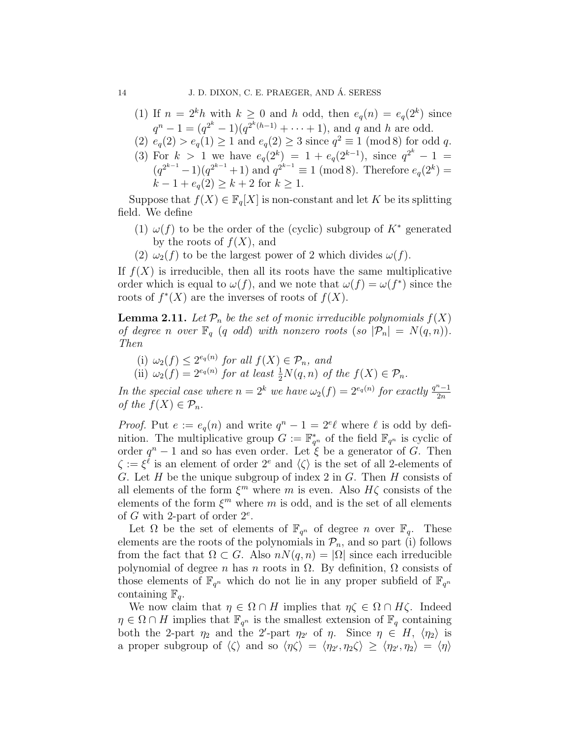- (1) If  $n = 2<sup>k</sup>h$  with  $k \ge 0$  and h odd, then  $e_q(n) = e_q(2<sup>k</sup>)$  since  $q^{n} - 1 = (q^{2^{k}} - 1)(q^{2^{k}(h-1)} + \cdots + 1)$ , and q and h are odd.
- (2)  $e_q(2) > e_q(1) \ge 1$  and  $e_q(2) \ge 3$  since  $q^2 \equiv 1 \pmod{8}$  for odd q.
- (3) For  $k > 1$  we have  $e_q(2^k) = 1 + e_q(2^{k-1})$ , since  $q^{2^k} 1 =$  $(q^{2^{k-1}}-1)(q^{2^{k-1}}+1)$  and  $q^{2^{k-1}} \equiv 1 \pmod{8}$ . Therefore  $e_q(2^k) =$  $k-1+e_q(2) \geq k+2$  for  $k \geq 1$ .

Suppose that  $f(X) \in \mathbb{F}_q[X]$  is non-constant and let K be its splitting field. We define

- (1)  $\omega(f)$  to be the order of the (cyclic) subgroup of  $K^*$  generated by the roots of  $f(X)$ , and
- (2)  $\omega_2(f)$  to be the largest power of 2 which divides  $\omega(f)$ .

If  $f(X)$  is irreducible, then all its roots have the same multiplicative order which is equal to  $\omega(f)$ , and we note that  $\omega(f) = \omega(f^*)$  since the roots of  $f^*(X)$  are the inverses of roots of  $f(X)$ .

**Lemma 2.11.** Let  $\mathcal{P}_n$  be the set of monic irreducible polynomials  $f(X)$ of degree n over  $\mathbb{F}_q$  (q odd) with nonzero roots (so  $|\mathcal{P}_n| = N(q,n)$ ). Then

- (i)  $\omega_2(f) \leq 2^{e_q(n)}$  for all  $f(X) \in \mathcal{P}_n$ , and
- (ii)  $\omega_2(f) = 2^{e_q(n)}$  for at least  $\frac{1}{2}N(q, n)$  of the  $f(X) \in \mathcal{P}_n$ .

In the special case where  $n = 2^k$  we have  $\omega_2(f) = 2^{e_q(n)}$  for exactly  $\frac{q^n-1}{2n}$  $_{2n}$ of the  $f(X) \in \mathcal{P}_n$ .

*Proof.* Put  $e := e_q(n)$  and write  $q^n - 1 = 2^e \ell$  where  $\ell$  is odd by definition. The multiplicative group  $G := \mathbb{F}_{q^n}^*$  of the field  $\mathbb{F}_{q^n}$  is cyclic of order  $q^{n} - 1$  and so has even order. Let  $\zeta$  be a generator of G. Then  $\zeta := \xi^{\ell}$  is an element of order  $2^{e}$  and  $\langle \zeta \rangle$  is the set of all 2-elements of G. Let H be the unique subgroup of index 2 in G. Then H consists of all elements of the form  $\xi^m$  where m is even. Also  $H\zeta$  consists of the elements of the form  $\xi^m$  where m is odd, and is the set of all elements of G with 2-part of order  $2^e$ .

Let  $\Omega$  be the set of elements of  $\mathbb{F}_{q^n}$  of degree n over  $\mathbb{F}_q$ . These elements are the roots of the polynomials in  $\mathcal{P}_n$ , and so part (i) follows from the fact that  $\Omega \subset G$ . Also  $nN(q, n) = |\Omega|$  since each irreducible polynomial of degree *n* has *n* roots in  $\Omega$ . By definition,  $\Omega$  consists of those elements of  $\mathbb{F}_{q^n}$  which do not lie in any proper subfield of  $\mathbb{F}_{q^n}$ containing  $\mathbb{F}_q$ .

We now claim that  $\eta \in \Omega \cap H$  implies that  $\eta \zeta \in \Omega \cap H\zeta$ . Indeed  $\eta \in \Omega \cap H$  implies that  $\mathbb{F}_{q^n}$  is the smallest extension of  $\mathbb{F}_q$  containing both the 2-part  $\eta_2$  and the 2'-part  $\eta_2$  of  $\eta$ . Since  $\eta \in H$ ,  $\langle \eta_2 \rangle$  is a proper subgroup of  $\langle \zeta \rangle$  and so  $\langle \eta \zeta \rangle = \langle \eta_{2'}, \eta_2 \zeta \rangle \ge \langle \eta_{2'}, \eta_2 \rangle = \langle \eta \rangle$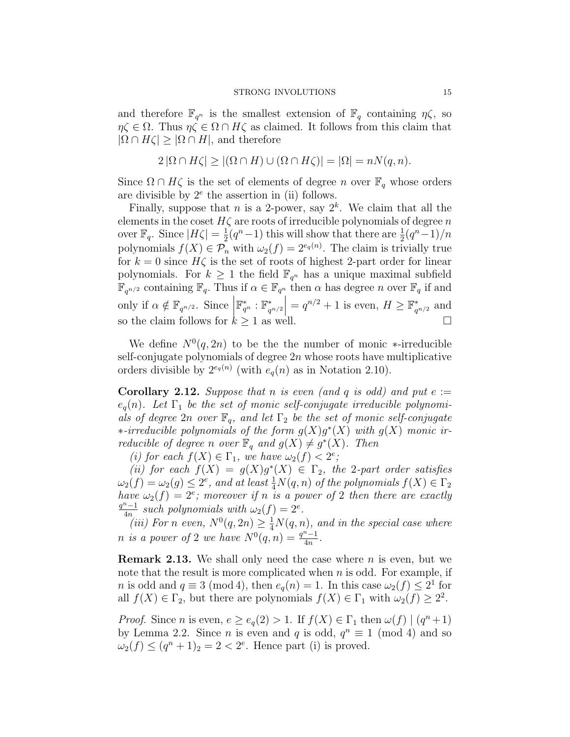and therefore  $\mathbb{F}_{q^n}$  is the smallest extension of  $\mathbb{F}_q$  containing  $\eta \zeta$ , so  $\eta \zeta \in \Omega$ . Thus  $\eta \zeta \in \Omega \cap H\zeta$  as claimed. It follows from this claim that  $|\Omega \cap H\zeta| \geq |\Omega \cap H|$ , and therefore

$$
2 |\Omega \cap H\zeta| \ge |(\Omega \cap H) \cup (\Omega \cap H\zeta)| = |\Omega| = nN(q, n).
$$

Since  $\Omega \cap H\zeta$  is the set of elements of degree n over  $\mathbb{F}_q$  whose orders are divisible by  $2^e$  the assertion in (ii) follows.

Finally, suppose that *n* is a 2-power, say  $2^k$ . We claim that all the elements in the coset  $H\zeta$  are roots of irreducible polynomials of degree n over  $\mathbb{F}_q$ . Since  $|H\zeta|=\frac{1}{2}$  $\frac{1}{2}(q^n-1)$  this will show that there are  $\frac{1}{2}(q^n-1)/n$ polynomials  $f(X) \in \mathcal{P}_n$  with  $\omega_2(f) = 2^{e_q(n)}$ . The claim is trivially true for  $k = 0$  since  $H\zeta$  is the set of roots of highest 2-part order for linear polynomials. For  $k \geq 1$  the field  $\mathbb{F}_{q^n}$  has a unique maximal subfield  $\mathbb{F}_{q^{n/2}}$  containing  $\mathbb{F}_q$ . Thus if  $\alpha \in \mathbb{F}_{q^n}$  then  $\alpha$  has degree n over  $\mathbb{F}_q$  if and only if  $\alpha \notin \mathbb{F}_{q^{n/2}}$ . Since  $\mathbb{F}_{q^n}^*$  :  $\mathbb{F}_{q}^*$  $\mathbb{F}_{q^{n/2}}^* = q^{n/2} + 1$  is even,  $H \geq \mathbb{F}_q^*$  $_{q^{n/2}}^*$  and so the claim follows for  $k \geq 1$  as well.

We define  $N^0(q, 2n)$  to be the the number of monic \*-irreducible self-conjugate polynomials of degree  $2n$  whose roots have multiplicative orders divisible by  $2^{e_q(n)}$  (with  $e_q(n)$  as in Notation 2.10).

**Corollary 2.12.** Suppose that n is even (and q is odd) and put  $e :=$  $e_q(n)$ . Let  $\Gamma_1$  be the set of monic self-conjugate irreducible polynomials of degree  $2n$  over  $\mathbb{F}_q$ , and let  $\Gamma_2$  be the set of monic self-conjugate ∗-irreducible polynomials of the form  $g(X)g^*(X)$  with  $g(X)$  monic irreducible of degree n over  $\mathbb{F}_q$  and  $g(X) \neq g^*(X)$ . Then

(i) for each  $f(X) \in \Gamma_1$ , we have  $\omega_2(f) < 2^e$ ;

(ii) for each  $f(X) = g(X)g^*(X) \in \Gamma_2$ , the 2-part order satisfies  $\omega_2(f) = \omega_2(g) \leq 2^e$ , and at least  $\frac{1}{4}N(q,n)$  of the polynomials  $f(X) \in \Gamma_2$ have  $\omega_2(f) = 2^e$ ; moreover if n is a power of 2 then there are exactly  $q^n - 1$  $\frac{d^{n}-1}{4n}$  such polynomials with  $\omega_2(f) = 2^e$ .

(iii) For n even,  $N^0(q, 2n) \geq \frac{1}{4}N(q, n)$ , and in the special case where *n* is a power of 2 we have  $N^0(q, n) = \frac{q^n - 1}{4n}$  $\frac{n-1}{4n}$ .

**Remark 2.13.** We shall only need the case where  $n$  is even, but we note that the result is more complicated when  $n$  is odd. For example, if *n* is odd and  $q \equiv 3 \pmod{4}$ , then  $e_q(n) = 1$ . In this case  $\omega_2(f) \leq 2^1$  for all  $f(X) \in \Gamma_2$ , but there are polynomials  $f(X) \in \Gamma_1$  with  $\omega_2(f) \geq 2^2$ .

*Proof.* Since *n* is even,  $e \geq e_q(2) > 1$ . If  $f(X) \in \Gamma_1$  then  $\omega(f) | (q^n + 1)$ by Lemma 2.2. Since *n* is even and *q* is odd,  $q^n \equiv 1 \pmod{4}$  and so  $\omega_2(f) \leq (q^n+1)_2 = 2 < 2^e$ . Hence part (i) is proved.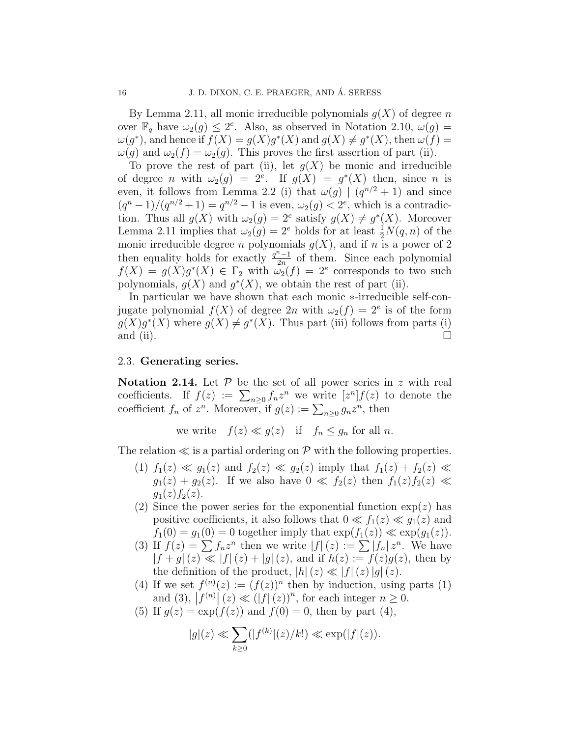By Lemma 2.11, all monic irreducible polynomials  $g(X)$  of degree n over  $\mathbb{F}_q$  have  $\omega_2(g) \leq 2^e$ . Also, as observed in Notation 2.10,  $\omega(g)$  =  $\omega(g^*)$ , and hence if  $f(X) = g(X)g^*(X)$  and  $g(X) \neq g^*(X)$ , then  $\omega(f) =$  $\omega(g)$  and  $\omega_2(f) = \omega_2(g)$ . This proves the first assertion of part (ii).

To prove the rest of part (ii), let  $g(X)$  be monic and irreducible of degree *n* with  $\omega_2(g) = 2^e$ . If  $g(X) = g^*(X)$  then, since *n* is even, it follows from Lemma 2.2 (i) that  $\omega(g) | (q^{n/2} + 1)$  and since  $(q^{n}-1)/(q^{n/2}+1) = q^{n/2}-1$  is even,  $\omega_2(g) < 2^e$ , which is a contradiction. Thus all  $g(X)$  with  $\omega_2(g) = 2^e$  satisfy  $g(X) \neq g^*(X)$ . Moreover Lemma 2.11 implies that  $\omega_2(g) = 2^e$  holds for at least  $\frac{1}{2}N(q, n)$  of the monic irreducible degree *n* polynomials  $g(X)$ , and if *n* is a power of 2 then equality holds for exactly  $\frac{q^n-1}{2n}$  $rac{1}{2n}$  of them. Since each polynomial  $f(X) = g(X)g^*(X) \in \Gamma_2$  with  $\omega_2(f) = 2^e$  corresponds to two such polynomials,  $g(X)$  and  $g^*(X)$ , we obtain the rest of part (ii).

In particular we have shown that each monic ∗-irreducible self-conjugate polynomial  $f(X)$  of degree  $2n$  with  $\omega_2(f) = 2^e$  is of the form  $g(X)g^*(X)$  where  $g(X) \neq g^*(X)$ . Thus part (iii) follows from parts (i) and (ii).  $\Box$ 

# 2.3. Generating series.

Notation 2.14. Let  $P$  be the set of all power series in z with real coefficients. If  $f(z) := \sum_{n\geq 0} f_n z^n$  we write  $[z^n] f(z)$  to denote the coefficient  $f_n$  of  $z^n$ . Moreover, if  $g(z) := \sum_{n\geq 0} g_n z^n$ , then

we write  $f(z) \ll g(z)$  if  $f_n \leq g_n$  for all n.

The relation  $\ll$  is a partial ordering on P with the following properties.

- (1)  $f_1(z) \ll g_1(z)$  and  $f_2(z) \ll g_2(z)$  imply that  $f_1(z) + f_2(z) \ll z$  $g_1(z) + g_2(z)$ . If we also have  $0 \ll f_2(z)$  then  $f_1(z) f_2(z) \ll$  $g_1(z) f_2(z)$ .
- (2) Since the power series for the exponential function  $\exp(z)$  has positive coefficients, it also follows that  $0 \ll f_1(z) \ll g_1(z)$  and  $f_1(0) = g_1(0) = 0$  together imply that  $\exp(f_1(z)) \ll \exp(g_1(z)).$
- (3) If  $f(z) = \sum f_n z^n$  then we write  $|f|(z) := \sum |f_n| z^n$ . We have  $|f + g|(z) \ll |f|(z) + |g|(z)$ , and if  $h(z) := f(z)g(z)$ , then by the definition of the product,  $|h|(z) \ll |f|(z)|g|(z)$ .
- (4) If we set  $f^{(n)}(z) := (f(z))^n$  then by induction, using parts (1) and (3),  $|f^{(n)}| (z) \ll (|f|(z))^n$ , for each integer  $n \geq 0$ .
- (5) If  $g(z) = \exp(f(z))$  and  $f(0) = 0$ , then by part (4),

$$
|g|(z) \ll \sum_{k\geq 0} (|f^{(k)}|(z)/k!) \ll \exp(|f|(z)).
$$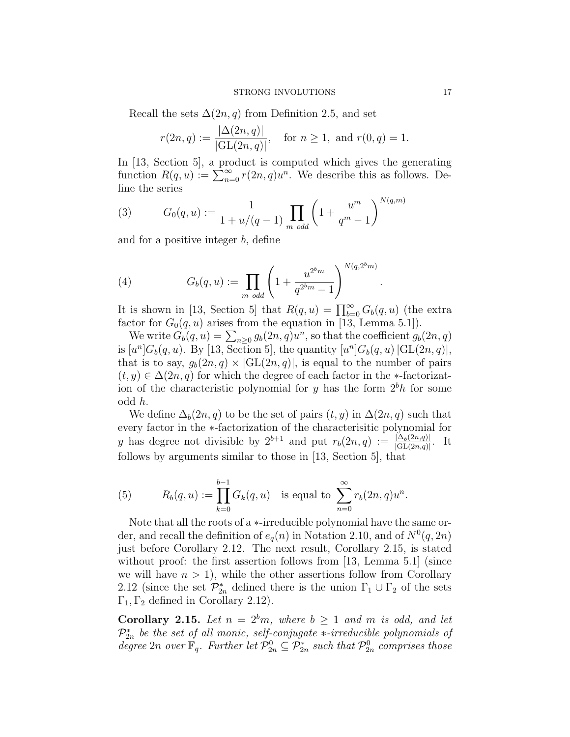Recall the sets  $\Delta(2n, q)$  from Definition 2.5, and set

$$
r(2n, q) := \frac{|\Delta(2n, q)|}{|\text{GL}(2n, q)|}, \quad \text{for } n \ge 1, \text{ and } r(0, q) = 1.
$$

In [13, Section 5], a product is computed which gives the generating function  $R(q, u) := \sum_{n=0}^{\infty} r(2n, q)u^n$ . We describe this as follows. Define the series

(3) 
$$
G_0(q, u) := \frac{1}{1 + u/(q - 1)} \prod_{m \text{ odd}} \left( 1 + \frac{u^m}{q^m - 1} \right)^{N(q, m)}
$$

and for a positive integer b, define

(4) 
$$
G_b(q, u) := \prod_{m \text{ odd}} \left( 1 + \frac{u^{2^b m}}{q^{2^b m} - 1} \right)^{N(q, 2^b m)}
$$

It is shown in [13, Section 5] that  $R(q, u) = \prod_{b=0}^{\infty} G_b(q, u)$  (the extra factor for  $G_0(q, u)$  arises from the equation in [13, Lemma 5.1]).

.

We write  $G_b(q, u) = \sum_{n \geq 0} g_b(2n, q) u^n$ , so that the coefficient  $g_b(2n, q)$ is  $[u^n]G_b(q, u)$ . By [13, Section 5], the quantity  $[u^n]G_b(q, u)$   $|\mathrm{GL}(2n, q)|$ , that is to say,  $g_b(2n, q) \times |GL(2n, q)|$ , is equal to the number of pairs  $(t, y) \in \Delta(2n, q)$  for which the degree of each factor in the \*-factorization of the characteristic polynomial for  $y$  has the form  $2<sup>b</sup>h$  for some odd h.

We define  $\Delta_b(2n, q)$  to be the set of pairs  $(t, y)$  in  $\Delta(2n, q)$  such that every factor in the ∗-factorization of the characterisitic polynomial for y has degree not divisible by  $2^{b+1}$  and put  $r_b(2n,q) := \frac{|\Delta_b(2n,q)|}{|\mathrm{GL}(2n,q)|}$ . It follows by arguments similar to those in [13, Section 5], that

(5) 
$$
R_b(q, u) := \prod_{k=0}^{b-1} G_k(q, u) \text{ is equal to } \sum_{n=0}^{\infty} r_b(2n, q)u^n.
$$

Note that all the roots of a ∗-irreducible polynomial have the same order, and recall the definition of  $e_q(n)$  in Notation 2.10, and of  $N^0(q, 2n)$ just before Corollary 2.12. The next result, Corollary 2.15, is stated without proof: the first assertion follows from [13, Lemma 5.1] (since we will have  $n > 1$ , while the other assertions follow from Corollary 2.12 (since the set  $\mathcal{P}_{2n}^*$  defined there is the union  $\Gamma_1 \cup \Gamma_2$  of the sets  $\Gamma_1, \Gamma_2$  defined in Corollary 2.12).

**Corollary 2.15.** Let  $n = 2^b m$ , where  $b \ge 1$  and m is odd, and let  $\mathcal{P}_{2n}^{*}$  be the set of all monic, self-conjugate  $*$ -irreducible polynomials of degree 2n over  $\mathbb{F}_q$ . Further let  $\mathcal{P}_{2n}^0 \subseteq \mathcal{P}_{2n}^*$  such that  $\mathcal{P}_{2n}^0$  comprises those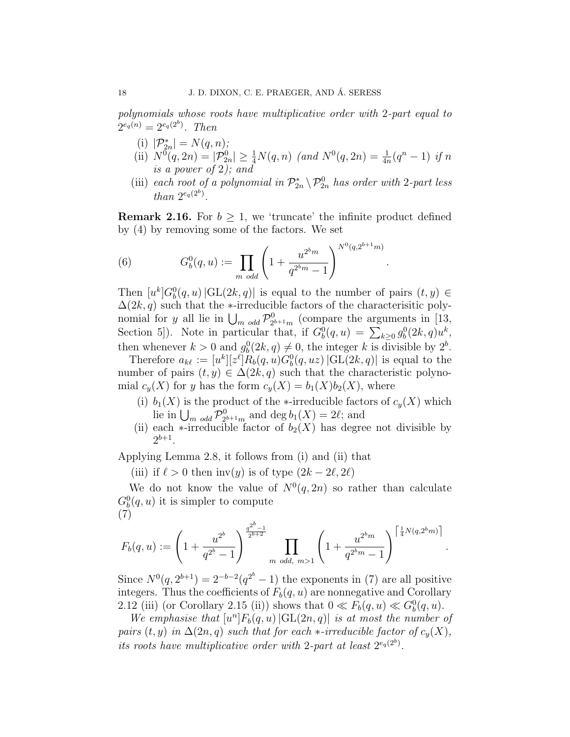polynomials whose roots have multiplicative order with 2-part equal to  $2^{e_q(n)} = 2^{e_q(2^b)}$ . Then

- (i)  $|\mathcal{P}_{2n}^*| = N(q, n);$
- (ii)  $N^0(q, 2n) = |\mathcal{P}_{2n}^0| \ge \frac{1}{4}N(q, n)$  (and  $N^0(q, 2n) = \frac{1}{4n}(q^n 1)$  if n is a power of 2); and
- (iii) each root of a polynomial in  $\mathcal{P}_{2n}^* \setminus \mathcal{P}_{2n}^0$  has order with 2-part less than  $2^{e_q(2^b)}$ .

**Remark 2.16.** For  $b \geq 1$ , we 'truncate' the infinite product defined by (4) by removing some of the factors. We set

.

.

(6) 
$$
G_b^0(q, u) := \prod_{m \text{ odd}} \left( 1 + \frac{u^{2^b m}}{q^{2^b m} - 1} \right)^{N^0(q, 2^{b+1} m)}
$$

Then  $[u^k]G_b^0(q, u)$   $|\mathrm{GL}(2k, q)|$  is equal to the number of pairs  $(t, y) \in$  $\Delta(2k, q)$  such that the ∗-irreducible factors of the characterisitic polynomial for y all lie in  $\bigcup_{m \text{ odd}} \mathcal{P}_2^0$  $_{2^{b+1}m}^{0}$  (compare the arguments in [13, Section 5]). Note in particular that, if  $G_b^0(q, u) = \sum_{k \geq 0} g_b^0(2k, q)u^k$ , then whenever  $k > 0$  and  $g_b^0(2k, q) \neq 0$ , the integer k is divisible by  $2^b$ .

Therefore  $a_{k\ell} := [u^k][z^{\ell}]R_b(q, u)G_b^0(q, uz)$  |GL(2k, q)| is equal to the number of pairs  $(t, y) \in \Delta(2k, q)$  such that the characteristic polynomial  $c_y(X)$  for y has the form  $c_y(X) = b_1(X)b_2(X)$ , where

- (i)  $b_1(X)$  is the product of the ∗-irreducible factors of  $c_y(X)$  which lie in  $\bigcup_{m \ odd} \mathcal{P}_{2^{\mathfrak{b}}}^{0}$  $b_{2^{b+1}m}^{0}$  and deg  $b_1(X) = 2\ell$ ; and
- (ii) each  $\ast$ -irreducible factor of  $b_2(X)$  has degree not divisible by  $2^{b+1}$ .

Applying Lemma 2.8, it follows from (i) and (ii) that

(iii) if  $\ell > 0$  then inv(y) is of type  $(2k - 2\ell, 2\ell)$ 

We do not know the value of  $N^0(q, 2n)$  so rather than calculate  $G_b^0(q, u)$  it is simpler to compute (7)

$$
F_b(q,u) := \left(1 + \frac{u^{2^b}}{q^{2^b} - 1}\right)^{\frac{q^{2^b} - 1}{2^{b+2}}} \prod_{m \text{ odd, } m > 1} \left(1 + \frac{u^{2^b m}}{q^{2^b m} - 1}\right)^{\left\lceil \frac{1}{4} N(q, 2^b m) \right\rceil}
$$

Since  $N^0(q, 2^{b+1}) = 2^{-b-2}(q^{2^b} - 1)$  the exponents in (7) are all positive integers. Thus the coefficients of  $F_b(q, u)$  are nonnegative and Corollary 2.12 (iii) (or Corollary 2.15 (ii)) shows that  $0 \ll F_b(q, u) \ll G_b^0(q, u)$ .

We emphasise that  $[u^n]F_b(q, u)$   $|\mathrm{GL}(2n, q)|$  is at most the number of pairs  $(t, y)$  in  $\Delta(2n, q)$  such that for each  $\ast$ -irreducible factor of  $c_y(X)$ , its roots have multiplicative order with 2-part at least  $2^{e_q(2^b)}$ .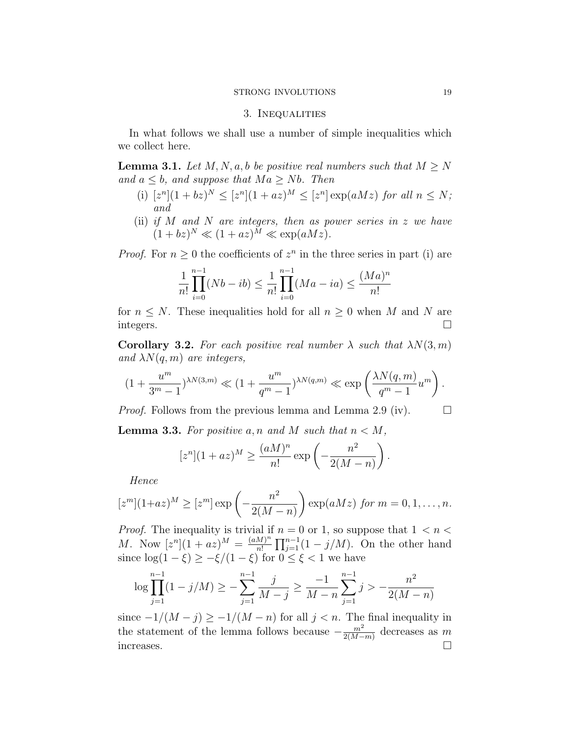#### STRONG INVOLUTIONS 19

# 3. Inequalities

In what follows we shall use a number of simple inequalities which we collect here.

**Lemma 3.1.** Let  $M, N, a, b$  be positive real numbers such that  $M \geq N$ and  $a \leq b$ , and suppose that  $Ma \geq Nb$ . Then

- (i)  $[z^n](1+bz)^N \leq [z^n](1+az)^M \leq [z^n] \exp(aMz)$  for all  $n \leq N$ ; and
- (ii) if  $M$  and  $N$  are integers, then as power series in  $z$  we have  $(1+bz)^N \ll (1+az)^M \ll \exp(aMz).$

*Proof.* For  $n \geq 0$  the coefficients of  $z^n$  in the three series in part (i) are

$$
\frac{1}{n!} \prod_{i=0}^{n-1} (Nb - ib) \le \frac{1}{n!} \prod_{i=0}^{n-1} (Ma - ia) \le \frac{(Ma)^n}{n!}
$$

for  $n \leq N$ . These inequalities hold for all  $n \geq 0$  when M and N are integers.

**Corollary 3.2.** For each positive real number  $\lambda$  such that  $\lambda N(3, m)$ and  $\lambda N(q, m)$  are integers,

$$
(1+\frac{u^m}{3^m-1})^{\lambda N(3,m)} \ll (1+\frac{u^m}{q^m-1})^{\lambda N(q,m)} \ll \exp\left(\frac{\lambda N(q,m)}{q^m-1}u^m\right).
$$

*Proof.* Follows from the previous lemma and Lemma 2.9 (iv).  $\square$ 

**Lemma 3.3.** For positive a, n and M such that  $n < M$ ,

$$
[zn](1 + az)M \ge \frac{(aM)n}{n!} \exp\left(-\frac{n2}{2(M-n)}\right).
$$

Hence

$$
[zm](1+az)M \geq [zm] \exp\left(-\frac{n^2}{2(M-n)}\right) \exp(aMz) \text{ for } m = 0, 1, ..., n.
$$

*Proof.* The inequality is trivial if  $n = 0$  or 1, so suppose that  $1 \lt n \lt \ell$ *M*. Now  $[z^n](1 + az)^M = \frac{(aM)^n}{n!}$  $\frac{M}{n!} \prod_{j=1}^{n-1} (1 - j/M)$ . On the other hand since  $\log(1-\xi) \geq -\xi/(1-\xi)$  for  $0 \leq \xi < 1$  we have

$$
\log \prod_{j=1}^{n-1} (1 - j/M) \ge -\sum_{j=1}^{n-1} \frac{j}{M-j} \ge \frac{-1}{M-n} \sum_{j=1}^{n-1} j > -\frac{n^2}{2(M-n)}
$$

since  $-1/(M-j) \ge -1/(M-n)$  for all  $j < n$ . The final inequality in the statement of the lemma follows because  $-\frac{m^2}{2(M-1)}$  $\frac{m^2}{2(M-m)}$  decreases as m increases.  $\square$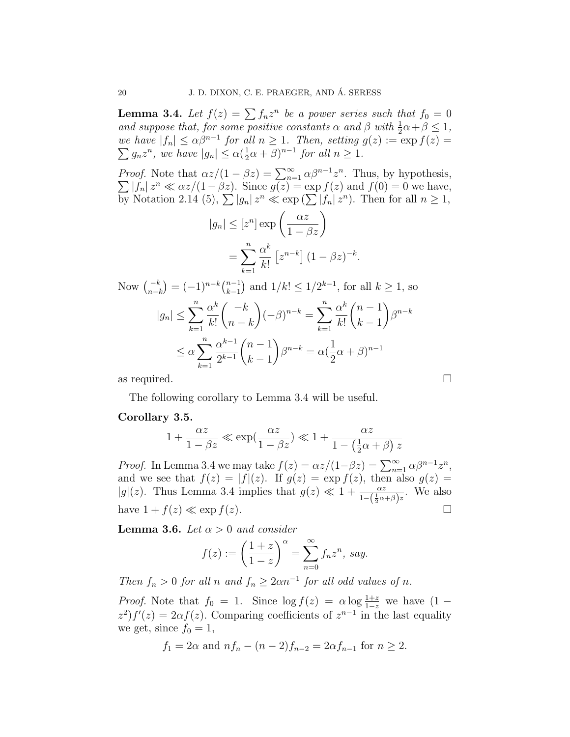**Lemma 3.4.** Let  $f(z) = \sum f_n z^n$  be a power series such that  $f_0 = 0$ and suppose that, for some positive constants  $\alpha$  and  $\beta$  with  $\frac{1}{2}\alpha + \beta \leq 1$ , we have  $|f_n| \leq \alpha \beta^{n-1}$  for all  $n \geq 1$ . Then, setting  $g(z) := \exp f(z) =$  $\sum g_n z^n$ , we have  $|g_n| \leq \alpha(\frac{1}{2})$  $\frac{1}{2}\alpha + \beta)^{n-1}$  for all  $n \ge 1$ .

*Proof.* Note that  $\alpha z/(1 - \beta z) = \sum_{n=1}^{\infty} \alpha \beta^{n-1} z^n$  $\sum$ . Thus, by hypothesis,  $|f_n| \, z^n \ll \alpha z/(1-\beta z)$ . Since  $g(z) = \exp f(z)$  and  $f(0) = 0$  we have, by Notation 2.14 (5),  $\sum |g_n| \, z^n \ll \exp\left(\sum |f_n| \, z^n\right)$ . Then for all  $n \geq 1$ ,

$$
|n| \leq [z^n] \exp\left(\frac{\alpha z}{1 - \beta z}\right)
$$
  
= 
$$
\sum_{k=1}^n \frac{\alpha^k}{k!} \left[z^{n-k}\right] (1 - \beta z)^{-k}.
$$

Now  $\binom{-k}{n-k} = (-1)^{n-k} \binom{n-1}{k-1}$  $\binom{n-1}{k-1}$  and  $1/k! \leq 1/2^{k-1}$ , for all  $k \geq 1$ , so  $|g_n| \leq \sum_{n=1}^n$  $k=1$  $\alpha^k$  $k!$  $\left( k \right)$  $n - k$  $\setminus$  $(-\beta)^{n-k} = \sum_{n=0}^{\infty}$  $k=1$  $\alpha^k$  $k!$  $(n-1)$  $k-1$  $\setminus$  $\beta^{n-k}$  $\leq \alpha \sum_{n=1}^{n}$  $_{k=1}$  $\alpha^{k-1}$  $2^{k-1}$  $\sqrt{n-1}$  $k-1$  $\setminus$  $\beta^{n-k} = \alpha \left( \frac{1}{2} \right)$ 2  $(\alpha + \beta)^{n-1}$ 

as required.  $\square$ 

The following corollary to Lemma 3.4 will be useful.

### Corollary 3.5.

$$
1 + \frac{\alpha z}{1 - \beta z} \ll \exp\left(\frac{\alpha z}{1 - \beta z}\right) \ll 1 + \frac{\alpha z}{1 - \left(\frac{1}{2}\alpha + \beta\right)z}
$$

*Proof.* In Lemma 3.4 we may take  $f(z) = \alpha z/(1-\beta z) = \sum_{n=1}^{\infty} \alpha \beta^{n-1} z^n$ , and we see that  $f(z) = |f|(z)$ . If  $g(z) = \exp f(z)$ , then also  $g(z) =$  $|g|(z)$ . Thus Lemma 3.4 implies that  $g(z) \ll 1 + \frac{\alpha z}{1-(\frac{1}{2}\alpha+\beta)z}$ . We also have  $1 + f(z) \ll \exp f(z)$ .

**Lemma 3.6.** Let  $\alpha > 0$  and consider

 $|g|$ 

$$
f(z) := \left(\frac{1+z}{1-z}\right)^{\alpha} = \sum_{n=0}^{\infty} f_n z^n, \, say.
$$

Then  $f_n > 0$  for all n and  $f_n \geq 2\alpha n^{-1}$  for all odd values of n.

*Proof.* Note that  $f_0 = 1$ . Since  $\log f(z) = \alpha \log \frac{1+z}{1-z}$  we have  $(1$  $z^2$ ) $f'(z) = 2\alpha f(z)$ . Comparing coefficients of  $z^{n-1}$  in the last equality we get, since  $f_0 = 1$ ,

$$
f_1 = 2\alpha
$$
 and  $nf_n - (n-2)f_{n-2} = 2\alpha f_{n-1}$  for  $n \ge 2$ .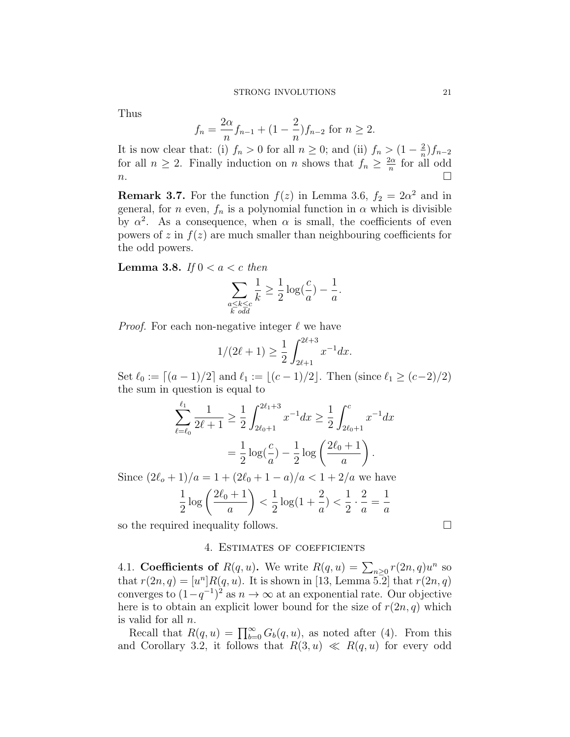Thus

$$
f_n = \frac{2\alpha}{n} f_{n-1} + (1 - \frac{2}{n}) f_{n-2} \text{ for } n \ge 2.
$$

It is now clear that: (i)  $f_n > 0$  for all  $n \geq 0$ ; and (ii)  $f_n > (1 - \frac{2}{n})$  $\frac{2}{n}$ ) $f_{n-2}$ for all  $n \geq 2$ . Finally induction on n shows that  $f_n \geq \frac{2\alpha}{n}$  $\frac{2\alpha}{n}$  for all odd  $n.$ 

**Remark 3.7.** For the function  $f(z)$  in Lemma 3.6,  $f_2 = 2\alpha^2$  and in general, for n even,  $f_n$  is a polynomial function in  $\alpha$  which is divisible by  $\alpha^2$ . As a consequence, when  $\alpha$  is small, the coefficients of even powers of z in  $f(z)$  are much smaller than neighbouring coefficients for the odd powers.

**Lemma 3.8.** If  $0 < a < c$  then

$$
\sum_{\substack{a \le k \le c \\ k \text{ odd}}} \frac{1}{k} \ge \frac{1}{2} \log(\frac{c}{a}) - \frac{1}{a}.
$$

*Proof.* For each non-negative integer  $\ell$  we have

$$
1/(2\ell+1) \ge \frac{1}{2} \int_{2\ell+1}^{2\ell+3} x^{-1} dx.
$$

Set  $\ell_0 := \lfloor (a - 1)/2 \rfloor$  and  $\ell_1 := \lfloor (c - 1)/2 \rfloor$ . Then (since  $\ell_1 \geq (c - 2)/2$ ) the sum in question is equal to

$$
\sum_{\ell=\ell_0}^{\ell_1} \frac{1}{2\ell+1} \ge \frac{1}{2} \int_{2\ell_0+1}^{2\ell_1+3} x^{-1} dx \ge \frac{1}{2} \int_{2\ell_0+1}^{c} x^{-1} dx
$$

$$
= \frac{1}{2} \log \left( \frac{c}{a} \right) - \frac{1}{2} \log \left( \frac{2\ell_0+1}{a} \right).
$$

Since  $(2\ell_o + 1)/a = 1 + (2\ell_0 + 1 - a)/a < 1 + 2/a$  we have

$$
\frac{1}{2}\log\left(\frac{2\ell_0+1}{a}\right) < \frac{1}{2}\log(1+\frac{2}{a}) < \frac{1}{2}\cdot\frac{2}{a} = \frac{1}{a}
$$

so the required inequality follows.

### 4. Estimates of coefficients

4.1. Coefficients of  $R(q, u)$ . We write  $R(q, u) = \sum_{n \geq 0} r(2n, q)u^n$  so that  $r(2n, q) = [u<sup>n</sup>] R(q, u)$ . It is shown in [13, Lemma 5.2] that  $r(2n, q)$ converges to  $(1-q^{-1})^2$  as  $n \to \infty$  at an exponential rate. Our objective here is to obtain an explicit lower bound for the size of  $r(2n, q)$  which is valid for all n.

Recall that  $R(q, u) = \prod_{b=0}^{\infty} G_b(q, u)$ , as noted after (4). From this and Corollary 3.2, it follows that  $R(3, u) \ll R(q, u)$  for every odd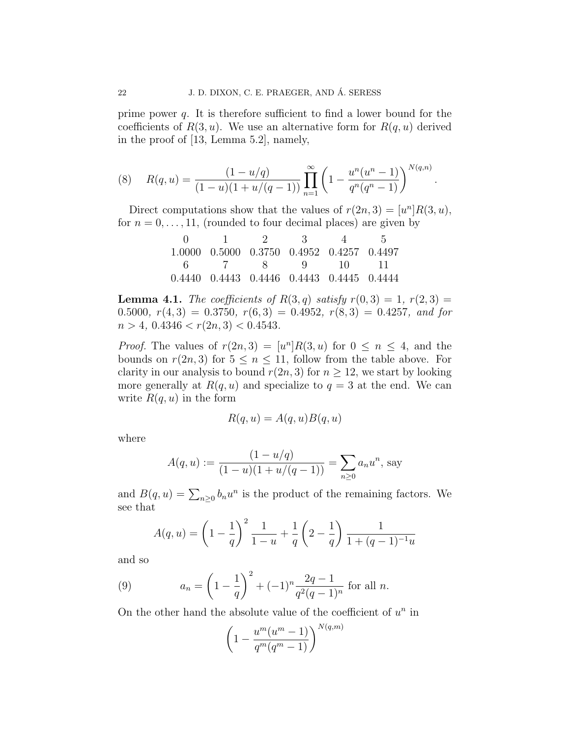prime power  $q$ . It is therefore sufficient to find a lower bound for the coefficients of  $R(3, u)$ . We use an alternative form for  $R(q, u)$  derived in the proof of [13, Lemma 5.2], namely,

(8) 
$$
R(q, u) = \frac{(1 - u/q)}{(1 - u)(1 + u/(q - 1))} \prod_{n=1}^{\infty} \left(1 - \frac{u^n(u^n - 1)}{q^n(q^n - 1)}\right)^{N(q, n)}.
$$

Direct computations show that the values of  $r(2n, 3) = [u<sup>n</sup>]R(3, u)$ , for  $n = 0, \ldots, 11$ , (rounded to four decimal places) are given by

|  | $0 \quad 1 \quad 2 \quad 3 \quad 4 \quad 5$ |  |
|--|---------------------------------------------|--|
|  | 1.0000 0.5000 0.3750 0.4952 0.4257 0.4497   |  |
|  | 6 7 8 9 10 11                               |  |
|  | 0.4440 0.4443 0.4446 0.4443 0.4445 0.4444   |  |

**Lemma 4.1.** The coefficients of  $R(3, q)$  satisfy  $r(0, 3) = 1$ ,  $r(2, 3) =$ 0.5000,  $r(4,3) = 0.3750$ ,  $r(6,3) = 0.4952$ ,  $r(8,3) = 0.4257$ , and for  $n > 4$ ,  $0.4346 < r(2n, 3) < 0.4543$ .

*Proof.* The values of  $r(2n,3) = [u^n]R(3,u)$  for  $0 \le n \le 4$ , and the bounds on  $r(2n, 3)$  for  $5 \le n \le 11$ , follow from the table above. For clarity in our analysis to bound  $r(2n, 3)$  for  $n \geq 12$ , we start by looking more generally at  $R(q, u)$  and specialize to  $q = 3$  at the end. We can write  $R(q, u)$  in the form

$$
R(q, u) = A(q, u)B(q, u)
$$

where

$$
A(q, u) := \frac{(1 - u/q)}{(1 - u)(1 + u/(q - 1))} = \sum_{n \ge 0} a_n u^n
$$
, say

and  $B(q, u) = \sum_{n \geq 0} b_n u^n$  is the product of the remaining factors. We see that

$$
A(q, u) = \left(1 - \frac{1}{q}\right)^2 \frac{1}{1 - u} + \frac{1}{q} \left(2 - \frac{1}{q}\right) \frac{1}{1 + (q - 1)^{-1}u}
$$

and so

(9) 
$$
a_n = \left(1 - \frac{1}{q}\right)^2 + (-1)^n \frac{2q-1}{q^2(q-1)^n} \text{ for all } n.
$$

On the other hand the absolute value of the coefficient of  $u^n$  in

$$
\left(1 - \frac{u^m(u^m - 1)}{q^m(q^m - 1)}\right)^{N(q,m)}
$$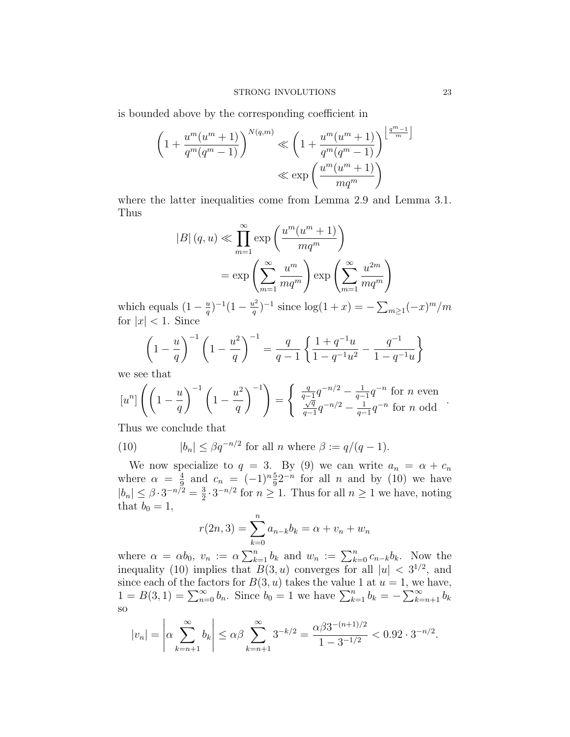is bounded above by the corresponding coefficient in

$$
\left(1 + \frac{u^m(u^m + 1)}{q^m(q^m - 1)}\right)^{N(q,m)} \ll \left(1 + \frac{u^m(u^m + 1)}{q^m(q^m - 1)}\right)^{\left\lfloor\frac{q^m - 1}{m}\right\rfloor}
$$

$$
\ll \exp\left(\frac{u^m(u^m + 1)}{mq^m}\right)
$$

where the latter inequalities come from Lemma 2.9 and Lemma 3.1. Thus

$$
|B| (q, u) \ll \prod_{m=1}^{\infty} \exp\left(\frac{u^m(u^m + 1)}{mq^m}\right)
$$

$$
= \exp\left(\sum_{m=1}^{\infty} \frac{u^m}{mq^m}\right) \exp\left(\sum_{m=1}^{\infty} \frac{u^{2m}}{mq^m}\right)
$$

which equals  $(1 - \frac{u}{a})$  $\frac{u}{q}$ )<sup>-1</sup>(1 –  $\frac{u^2}{q}$  $(\frac{u^2}{q})^{-1}$  since  $\log(1+x) = -\sum_{m\geq 1} (-x)^m/m$ for  $|x| < 1$ . Since

$$
\left(1 - \frac{u}{q}\right)^{-1} \left(1 - \frac{u^2}{q}\right)^{-1} = \frac{q}{q - 1} \left\{ \frac{1 + q^{-1}u}{1 - q^{-1}u^2} - \frac{q^{-1}}{1 - q^{-1}u} \right\}
$$

we see that

$$
[u^n] \left( \left( 1 - \frac{u}{q} \right)^{-1} \left( 1 - \frac{u^2}{q} \right)^{-1} \right) = \begin{cases} \frac{q}{q-1} q^{-n/2} - \frac{1}{q-1} q^{-n} \text{ for } n \text{ even} \\ \frac{\sqrt{q}}{q-1} q^{-n/2} - \frac{1}{q-1} q^{-n} \text{ for } n \text{ odd} \end{cases}.
$$

Thus we conclude that

(10) 
$$
|b_n| \leq \beta q^{-n/2} \text{ for all } n \text{ where } \beta := q/(q-1).
$$

We now specialize to  $q = 3$ . By (9) we can write  $a_n = \alpha + c_n$ where  $\alpha = \frac{4}{9}$  $\frac{4}{9}$  and  $c_n = (-1)^n \frac{5}{9} 2^{-n}$  for all n and by (10) we have  $|b_n| \leq \beta \cdot 3^{-n/2} = \frac{3}{2}$  $\frac{3}{2} \cdot 3^{-n/2}$  for  $n \ge 1$ . Thus for all  $n \ge 1$  we have, noting that  $b_0 = 1$ ,

$$
r(2n,3) = \sum_{k=0}^{n} a_{n-k}b_k = \alpha + v_n + w_n
$$

where  $\alpha = \alpha b_0$ ,  $v_n := \alpha \sum_{k=1}^n b_k$  and  $w_n := \sum_{k=0}^n c_{n-k} b_k$ . Now the inequality (10) implies that  $B(3, u)$  converges for all  $|u| < 3^{1/2}$ , and since each of the factors for  $B(3, u)$  takes the value 1 at  $u = 1$ , we have,  $1 = B(3, 1) = \sum_{n=0}^{\infty} b_n$ . Since  $b_0 = 1$  we have  $\sum_{k=1}^{n} b_k = -\sum_{k=n+1}^{\infty} b_k$ so

$$
|v_n| = \left| \alpha \sum_{k=n+1}^{\infty} b_k \right| \le \alpha \beta \sum_{k=n+1}^{\infty} 3^{-k/2} = \frac{\alpha \beta 3^{-(n+1)/2}}{1 - 3^{-1/2}} < 0.92 \cdot 3^{-n/2}.
$$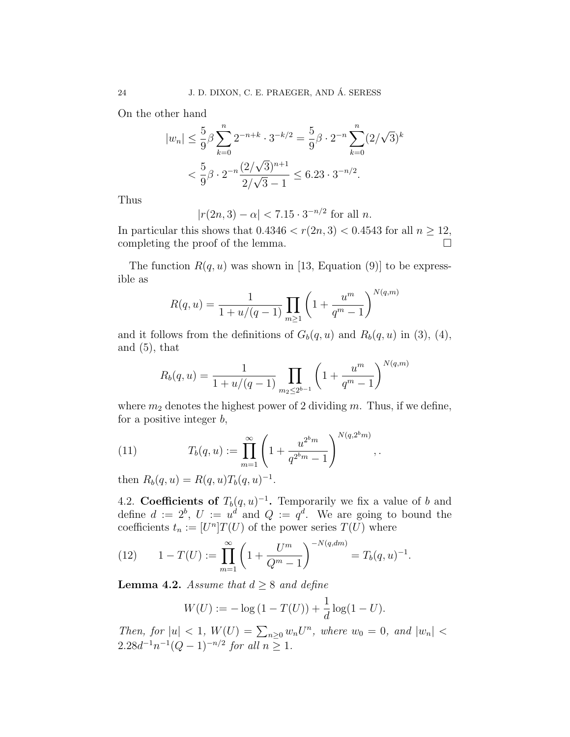On the other hand

$$
|w_n| \le \frac{5}{9} \beta \sum_{k=0}^n 2^{-n+k} \cdot 3^{-k/2} = \frac{5}{9} \beta \cdot 2^{-n} \sum_{k=0}^n (2/\sqrt{3})^k
$$
  

$$
< \frac{5}{9} \beta \cdot 2^{-n} \frac{(2/\sqrt{3})^{n+1}}{2/\sqrt{3}-1} \le 6.23 \cdot 3^{-n/2}.
$$

Thus

$$
|r(2n,3) - \alpha| < 7.15 \cdot 3^{-n/2} \text{ for all } n.
$$

In particular this shows that  $0.4346 < r(2n, 3) < 0.4543$  for all  $n \ge 12$ , completing the proof of the lemma.

The function  $R(q, u)$  was shown in [13, Equation (9)] to be expressible as

$$
R(q, u) = \frac{1}{1 + u/(q - 1)} \prod_{m \ge 1} \left( 1 + \frac{u^m}{q^m - 1} \right)^{N(q, m)}
$$

and it follows from the definitions of  $G_b(q, u)$  and  $R_b(q, u)$  in (3), (4), and  $(5)$ , that

$$
R_b(q, u) = \frac{1}{1 + u/(q - 1)} \prod_{m_2 \le 2^{b-1}} \left( 1 + \frac{u^m}{q^m - 1} \right)^{N(q, m)}
$$

where  $m_2$  denotes the highest power of 2 dividing m. Thus, if we define, for a positive integer  $b$ ,

(11) 
$$
T_b(q, u) := \prod_{m=1}^{\infty} \left( 1 + \frac{u^{2^b m}}{q^{2^b m} - 1} \right)^{N(q, 2^b m)},
$$

then  $R_b(q, u) = R(q, u) T_b(q, u)^{-1}$ .

4.2. Coefficients of  $T_b(q, u)^{-1}$ . Temporarily we fix a value of b and define  $d := 2^b$ ,  $U := u^d$  and  $Q := q^d$ . We are going to bound the coefficients  $t_n := [U^n]T(U)$  of the power series  $T(U)$  where

(12) 
$$
1 - T(U) := \prod_{m=1}^{\infty} \left( 1 + \frac{U^m}{Q^m - 1} \right)^{-N(q, dm)} = T_b(q, u)^{-1}.
$$

**Lemma 4.2.** Assume that  $d \geq 8$  and define

$$
W(U) := -\log(1 - T(U)) + \frac{1}{d}\log(1 - U).
$$

Then, for  $|u| < 1$ ,  $W(U) = \sum_{n\geq 0} w_n U^n$ , where  $w_0 = 0$ , and  $|w_n| <$  $2.28d^{-1}n^{-1}(Q-1)^{-n/2}$  for all  $n \geq 1$ .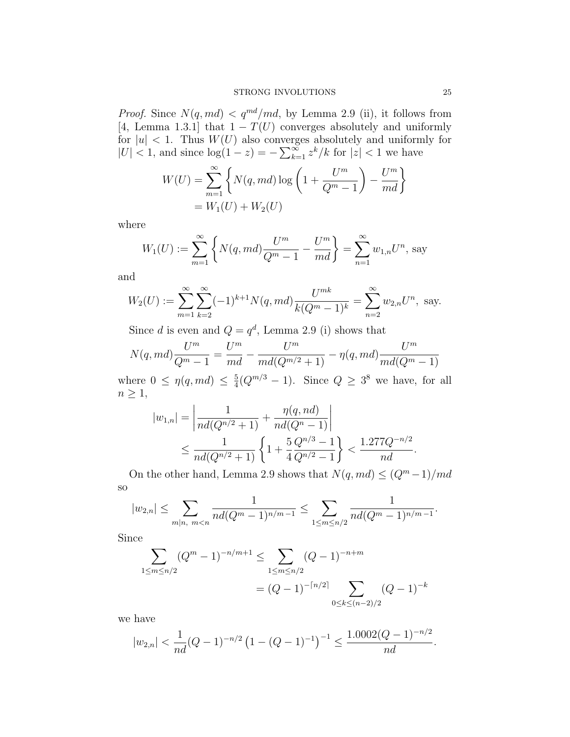*Proof.* Since  $N(q, md) < q^{md}/md$ , by Lemma 2.9 (ii), it follows from [4, Lemma 1.3.1] that  $1 - T(U)$  converges absolutely and uniformly for  $|u|$  < 1. Thus  $W(U)$  also converges absolutely and uniformly for  $|U|$  < 1, and since  $\log(1-z) = -\sum_{k=1}^{\infty} z^k/k$  for  $|z|$  < 1 we have

$$
W(U) = \sum_{m=1}^{\infty} \left\{ N(q, md) \log \left( 1 + \frac{U^m}{Q^m - 1} \right) - \frac{U^m}{md} \right\}
$$
  
=  $W_1(U) + W_2(U)$ 

where

$$
W_1(U) := \sum_{m=1}^{\infty} \left\{ N(q, md) \frac{U^m}{Q^m - 1} - \frac{U^m}{md} \right\} = \sum_{n=1}^{\infty} w_{1,n} U^n, \text{ say}
$$

and

$$
W_2(U) := \sum_{m=1}^{\infty} \sum_{k=2}^{\infty} (-1)^{k+1} N(q, md) \frac{U^{mk}}{k(Q^m - 1)^k} = \sum_{n=2}^{\infty} w_{2,n} U^n, \text{ say.}
$$

Since d is even and  $Q = q^d$ , Lemma 2.9 (i) shows that

$$
N(q, md) \frac{U^m}{Q^m - 1} = \frac{U^m}{md} - \frac{U^m}{md(Q^{m/2} + 1)} - \eta(q, md) \frac{U^m}{md(Q^m - 1)}
$$

where  $0 \leq \eta(q, md) \leq \frac{5}{4}$  $\frac{5}{4}(Q^{m/3}-1)$ . Since  $Q \geq 3^8$  we have, for all  $n \geq 1$ ,

$$
|w_{1,n}| = \left| \frac{1}{nd(Q^{n/2} + 1)} + \frac{\eta(q, nd)}{nd(Q^{n} - 1)} \right|
$$
  
 
$$
\leq \frac{1}{nd(Q^{n/2} + 1)} \left\{ 1 + \frac{5}{4} \frac{Q^{n/3} - 1}{Q^{n/2} - 1} \right\} < \frac{1.277 Q^{-n/2}}{nd}.
$$

On the other hand, Lemma 2.9 shows that  $N(q, md) \leq (Q^m - 1)/md$ so

$$
|w_{2,n}| \leq \sum_{m|n, \ m
$$

Since

$$
\sum_{1 \le m \le n/2} (Q^m - 1)^{-n/m+1} \le \sum_{1 \le m \le n/2} (Q - 1)^{-n+m}
$$
  
=  $(Q - 1)^{-\lceil n/2 \rceil} \sum_{0 \le k \le (n-2)/2} (Q - 1)^{-k}$ 

we have

$$
|w_{2,n}| < \frac{1}{nd}(Q-1)^{-n/2} \left(1 - (Q-1)^{-1}\right)^{-1} \le \frac{1.0002(Q-1)^{-n/2}}{nd}.
$$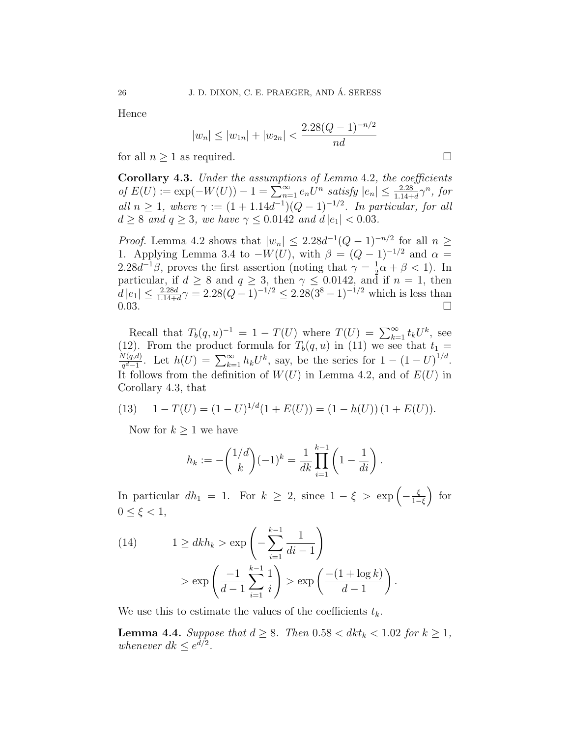Hence

$$
|w_n| \le |w_{1n}| + |w_{2n}| < \frac{2.28(Q-1)^{-n/2}}{nd}
$$

for all  $n \geq 1$  as required.

Corollary 4.3. Under the assumptions of Lemma 4.2, the coefficients of  $E(U) := \exp(-W(U)) - 1 = \sum_{n=1}^{\infty} e_n U^n$  satisfy  $|e_n| \leq \frac{2.28}{1.14+d} \gamma^n$ , for all  $n \geq 1$ , where  $\gamma := (1 + 1.14d^{-1})(Q - 1)^{-1/2}$ . In particular, for all  $d \geq 8$  and  $q \geq 3$ , we have  $\gamma \leq 0.0142$  and  $d |e_1| < 0.03$ .

*Proof.* Lemma 4.2 shows that  $|w_n| \leq 2.28d^{-1}(Q-1)^{-n/2}$  for all  $n \geq$ 1. Applying Lemma 3.4 to  $-W(U)$ , with  $\beta = (Q-1)^{-1/2}$  and  $\alpha =$  $2.28d^{-1}\beta$ , proves the first assertion (noting that  $\gamma = \frac{1}{2}$ )  $\frac{1}{2}\alpha + \beta < 1$ ). In particular, if  $d \geq 8$  and  $q \geq 3$ , then  $\gamma \leq 0.0142$ , and if  $n = 1$ , then  $d|e_1| \leq \frac{2.28d}{1.14+d} \gamma = 2.28(Q-1)^{-1/2} \leq 2.28(3^8-1)^{-1/2}$  which is less than  $0.03.$ 

Recall that  $T_b(q, u)^{-1} = 1 - T(U)$  where  $T(U) = \sum_{k=1}^{\infty} t_k U^k$ , see (12). From the product formula for  $T_b(q, u)$  in (11) we see that  $t_1 =$  $N(q,d)$  $\frac{\partial V(q,d)}{q^d-1}$ . Let  $h(U) = \sum_{k=1}^{\infty} h_k U^k$ , say, be the series for  $1 - (1-U)^{1/d}$ . It follows from the definition of  $W(U)$  in Lemma 4.2, and of  $E(U)$  in Corollary 4.3, that

(13) 
$$
1 - T(U) = (1 - U)^{1/d} (1 + E(U)) = (1 - h(U)) (1 + E(U)).
$$

Now for  $k \geq 1$  we have

$$
h_k := -\binom{1/d}{k} (-1)^k = \frac{1}{dk} \prod_{i=1}^{k-1} \left( 1 - \frac{1}{di} \right).
$$

In particular  $dh_1 = 1$ . For  $k \geq 2$ , since  $1 - \xi > \exp\left(-\frac{\xi}{1 - \xi}\right)$  $\frac{\xi}{1-\xi}$  for  $0 \leq \xi < 1$ ,

(14) 
$$
1 \ge dk h_k > \exp\left(-\sum_{i=1}^{k-1} \frac{1}{di - 1}\right) > \exp\left(\frac{-1}{d-1} \sum_{i=1}^{k-1} \frac{1}{i}\right) > \exp\left(\frac{-(1 + \log k)}{d-1}\right)
$$

We use this to estimate the values of the coefficients  $t_k$ .

**Lemma 4.4.** Suppose that  $d \geq 8$ . Then  $0.58 < dk_t < 1.02$  for  $k \geq 1$ , whenever  $dk \leq e^{d/2}$ .

.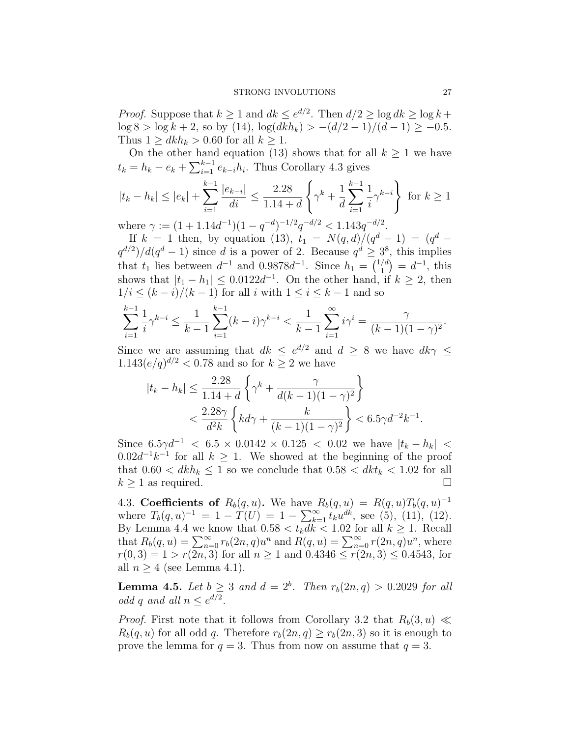*Proof.* Suppose that  $k \geq 1$  and  $dk \leq e^{d/2}$ . Then  $d/2 \geq \log dk \geq \log k +$  $\log 8 > \log k + 2$ , so by (14),  $\log(dkh_k) > -(d/2 - 1)/(d - 1) \ge -0.5$ . Thus  $1 \geq dk h_k > 0.60$  for all  $k \geq 1$ .

On the other hand equation (13) shows that for all  $k \geq 1$  we have  $t_k = h_k - e_k + \sum_{i=1}^{k-1} e_{k-i} h_i$ . Thus Corollary 4.3 gives

$$
|t_k - h_k| \le |e_k| + \sum_{i=1}^{k-1} \frac{|e_{k-i}|}{di} \le \frac{2.28}{1.14 + d} \left\{ \gamma^k + \frac{1}{d} \sum_{i=1}^{k-1} \frac{1}{i} \gamma^{k-i} \right\} \text{ for } k \ge 1
$$

where  $\gamma := (1 + 1.14d^{-1})(1 - q^{-d})^{-1/2}q^{-d/2} < 1.143q^{-d/2}$ .

If  $k = 1$  then, by equation (13),  $t_1 = N(q, d)/(q^d - 1) = (q^d$  $q^{d/2}$ )/ $d(q^d-1)$  since d is a power of 2. Because  $q^d \geq 3^8$ , this implies that  $t_1$  lies between  $d^{-1}$  and 0.9878 $d^{-1}$ . Since  $h_1 = \binom{1/d}{1}$  $\binom{d}{1} = d^{-1}$ , this shows that  $|t_1 - h_1| \leq 0.0122d^{-1}$ . On the other hand, if  $k \geq 2$ , then  $1/i \leq (k-i)/(k-1)$  for all i with  $1 \leq i \leq k-1$  and so

$$
\sum_{i=1}^{k-1} \frac{1}{i} \gamma^{k-i} \le \frac{1}{k-1} \sum_{i=1}^{k-1} (k-i) \gamma^{k-i} < \frac{1}{k-1} \sum_{i=1}^{\infty} i \gamma^i = \frac{\gamma}{(k-1)(1-\gamma)^2}.
$$

Since we are assuming that  $dk \leq e^{d/2}$  and  $d \geq 8$  we have  $dk\gamma \leq$  $1.143(e/q)^{d/2} < 0.78$  and so for  $k \ge 2$  we have

$$
|t_k - h_k| \le \frac{2.28}{1.14 + d} \left\{ \gamma^k + \frac{\gamma}{d(k-1)(1-\gamma)^2} \right\}
$$
  
< 
$$
< \frac{2.28\gamma}{d^2 k} \left\{ kd\gamma + \frac{k}{(k-1)(1-\gamma)^2} \right\} < 6.5\gamma d^{-2}k^{-1}.
$$

Since  $6.5\gamma d^{-1}$  <  $6.5 \times 0.0142 \times 0.125$  < 0.02 we have  $|t_k - h_k|$  <  $0.02d^{-1}k^{-1}$  for all  $k \geq 1$ . We showed at the beginning of the proof that  $0.60 < dkh_k \leq 1$  so we conclude that  $0.58 < dkt_k < 1.02$  for all  $k \geq 1$  as required.

4.3. Coefficients of  $R_b(q, u)$ . We have  $R_b(q, u) = R(q, u)T_b(q, u)^{-1}$ where  $T_b(q, u)^{-1} = 1 - T(U) = 1 - \sum_{k=1}^{\infty} t_k u^{dk}$ , see (5), (11), (12). By Lemma 4.4 we know that  $0.58 < t_k dk < 1.02$  for all  $k \ge 1$ . Recall that  $R_b(q, u) = \sum_{n=0}^{\infty} r_b(2n, q)u^n$  and  $R(q, u) = \sum_{n=0}^{\infty} r(2n, q)u^n$ , where  $r(0, 3) = 1 > r(2n, 3)$  for all  $n \ge 1$  and  $0.4346 \le r(2n, 3) \le 0.4543$ , for all  $n \geq 4$  (see Lemma 4.1).

**Lemma 4.5.** Let  $b \geq 3$  and  $d = 2^b$ . Then  $r_b(2n, q) > 0.2029$  for all odd q and all  $n \leq e^{d/2}$ .

*Proof.* First note that it follows from Corollary 3.2 that  $R_b(3, u) \ll$  $R_b(q, u)$  for all odd q. Therefore  $r_b(2n, q) \ge r_b(2n, 3)$  so it is enough to prove the lemma for  $q = 3$ . Thus from now on assume that  $q = 3$ .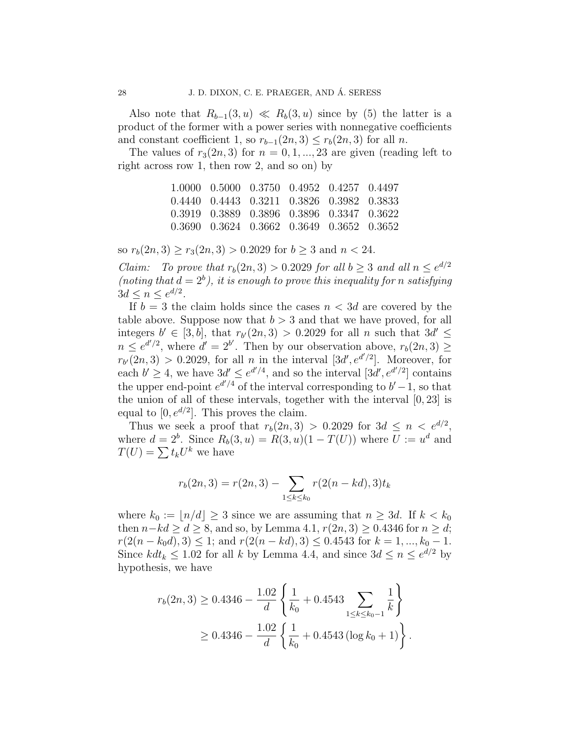Also note that  $R_{b-1}(3, u) \ll R_b(3, u)$  since by (5) the latter is a product of the former with a power series with nonnegative coefficients and constant coefficient 1, so  $r_{b-1}(2n, 3) \leq r_b(2n, 3)$  for all n.

The values of  $r_3(2n, 3)$  for  $n = 0, 1, ..., 23$  are given (reading left to right across row 1, then row 2, and so on) by

| 1.0000 0.5000 0.3750 0.4952 0.4257 0.4497             |  |  |
|-------------------------------------------------------|--|--|
| 0.4440 0.4443 0.3211 0.3826 0.3982 0.3833             |  |  |
| 0.3919 0.3889 0.3896 0.3896 0.3347 0.3622             |  |  |
| $0.3690$ $0.3624$ $0.3662$ $0.3649$ $0.3652$ $0.3652$ |  |  |

so  $r_b(2n, 3) \ge r_3(2n, 3) > 0.2029$  for  $b \ge 3$  and  $n < 24$ .

*Claim:* To prove that  $r_b(2n, 3) > 0.2029$  for all  $b \ge 3$  and all  $n \le e^{d/2}$ (noting that  $d = 2<sup>b</sup>$ ), it is enough to prove this inequality for n satisfying  $3d \leq n \leq e^{d/2}$ .

If  $b = 3$  the claim holds since the cases  $n < 3d$  are covered by the table above. Suppose now that  $b > 3$  and that we have proved, for all integers  $b' \in [3, b]$ , that  $r_{b'}(2n, 3) > 0.2029$  for all n such that  $3d' \leq$  $n \leq e^{d'/2}$ , where  $d' = 2^{b'}$ . Then by our observation above,  $r_b(2n, 3) \geq$  $r_{b'}(2n,3) > 0.2029$ , for all n in the interval  $[3d', e^{d'/2}]$ . Moreover, for each  $b' \geq 4$ , we have  $3d' \leq e^{d'/4}$ , and so the interval  $[3d', e^{d'/2}]$  contains the upper end-point  $e^{d'/4}$  of the interval corresponding to  $b'-1$ , so that the union of all of these intervals, together with the interval  $[0, 23]$  is equal to  $[0, e^{d/2}]$ . This proves the claim.

Thus we seek a proof that  $r_b(2n, 3) > 0.2029$  for  $3d \leq n \leq e^{d/2}$ , where  $d = 2^b$ . Since  $R_b(3, u) = R(3, u)(1 - T(U))$  where  $U := u^d$  and  $T(U) = \sum t_k U^k$  we have

$$
r_b(2n,3) = r(2n,3) - \sum_{1 \le k \le k_0} r(2(n - kd),3)t_k
$$

where  $k_0 := \lfloor n/d \rfloor \geq 3$  since we are assuming that  $n \geq 3d$ . If  $k < k_0$ then  $n-kd \geq d \geq 8$ , and so, by Lemma 4.1,  $r(2n, 3) \geq 0.4346$  for  $n \geq d$ ;  $r(2(n - k_0d), 3) \leq 1$ ; and  $r(2(n - kd), 3) \leq 0.4543$  for  $k = 1, ..., k_0 - 1$ . Since  $kdt_k \leq 1.02$  for all k by Lemma 4.4, and since  $3d \leq n \leq e^{d/2}$  by hypothesis, we have

$$
r_b(2n,3) \ge 0.4346 - \frac{1.02}{d} \left\{ \frac{1}{k_0} + 0.4543 \sum_{1 \le k \le k_0-1} \frac{1}{k} \right\}
$$
  
 
$$
\ge 0.4346 - \frac{1.02}{d} \left\{ \frac{1}{k_0} + 0.4543 \left( \log k_0 + 1 \right) \right\}.
$$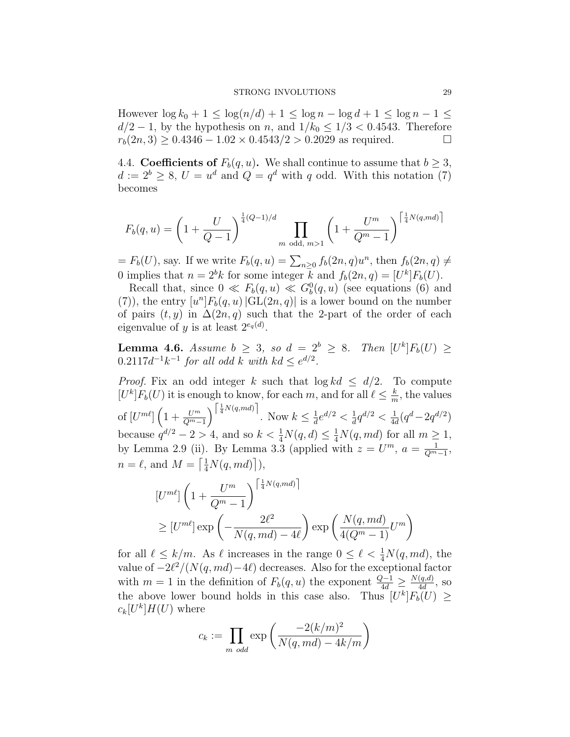### STRONG INVOLUTIONS 29

However  $\log k_0 + 1 \leq \log(n/d) + 1 \leq \log n - \log d + 1 \leq \log n - 1 \leq$  $d/2 - 1$ , by the hypothesis on n, and  $1/k_0 \leq 1/3 < 0.4543$ . Therefore  $r_b(2n, 3) \ge 0.4346 - 1.02 \times 0.4543/2 > 0.2029$  as required.

4.4. Coefficients of  $F_b(q, u)$ . We shall continue to assume that  $b \geq 3$ ,  $d := 2^b \geq 8, U = u^d$  and  $Q = q^d$  with q odd. With this notation (7) becomes

$$
F_b(q, u) = \left(1 + \frac{U}{Q - 1}\right)^{\frac{1}{4}(Q - 1)/d} \prod_{m \text{ odd, } m > 1} \left(1 + \frac{U^m}{Q^m - 1}\right)^{\left[\frac{1}{4}N(q, md)\right]}
$$

 $= F_b(U)$ , say. If we write  $F_b(q, u) = \sum_{n \geq 0} f_b(2n, q)u^n$ , then  $f_b(2n, q) \neq 0$ 0 implies that  $n = 2^b k$  for some integer k and  $f_b(2n, q) = [U^k] F_b(U)$ .

Recall that, since  $0 \ll F_b(q, u) \ll G_b^0(q, u)$  (see equations (6) and (7)), the entry  $[u<sup>n</sup>]F<sub>b</sub>(q, u)$  |GL(2n, q)| is a lower bound on the number of pairs  $(t, y)$  in  $\Delta(2n, q)$  such that the 2-part of the order of each eigenvalue of y is at least  $2^{e_q(d)}$ .

**Lemma 4.6.** Assume  $b \geq 3$ , so  $d = 2^b \geq 8$ . Then  $[U^k]F_b(U) \geq 1$  $0.2117d^{-1}k^{-1}$  for all odd k with  $kd \leq e^{d/2}$ .

*Proof.* Fix an odd integer k such that  $\log kd \leq d/2$ . To compute  $[U^k]F_b(U)$  it is enough to know, for each m, and for all  $\ell \leq \frac{k}{m}$  $\frac{k}{m}$ , the values of  $\left[U^{m\ell}\right] \left(1+\frac{U^m}{Q^m-1}\right)^{\left\lceil \frac{1}{4}N(q,md)\right\rceil}$ . Now  $k \leq \frac{1}{d}$  $\frac{1}{d}e^{d/2} < \frac{1}{d}$  $\frac{1}{d}q^{d/2}<\frac{1}{4d}$  $\frac{1}{4d}(q^d - 2q^{d/2})$ because  $q^{d/2} - 2 > 4$ , and so  $k < \frac{1}{4}N(q, d) \leq \frac{1}{4}N(q, md)$  for all  $m \geq 1$ , by Lemma 2.9 (ii). By Lemma 3.3 (applied with  $z = U^m$ ,  $a = \frac{1}{\Omega^m}$  $\frac{1}{Q^{m}-1},$  $n = \ell$ , and  $M = \left\lceil \frac{1}{4}N(q, md) \right\rceil$ ),

$$
[U^{m\ell}] \left( 1 + \frac{U^m}{Q^m - 1} \right)^{\left\lceil \frac{1}{4}N(q, md)\right\rceil}
$$
  
\n
$$
\geq [U^{m\ell}] \exp\left( -\frac{2\ell^2}{N(q, md) - 4\ell} \right) \exp\left( \frac{N(q, md)}{4(Q^m - 1)} U^m \right)
$$

for all  $\ell \leq k/m$ . As  $\ell$  increases in the range  $0 \leq \ell < \frac{1}{4}N(q, md)$ , the value of  $-2\ell^2/(N(q, md)-4\ell)$  decreases. Also for the exceptional factor with  $m = 1$  in the definition of  $F_b(q, u)$  the exponent  $\frac{Q-1}{4d} \ge \frac{N(q, d)}{4d}$  $\frac{(q,a)}{4d}$ , so the above lower bound holds in this case also. Thus  $[U^k]F_b(U) \geq$  $c_k[U^k]H(U)$  where

$$
c_k := \prod_{m \text{ odd}} \exp\left(\frac{-2(k/m)^2}{N(q, md) - 4k/m}\right)
$$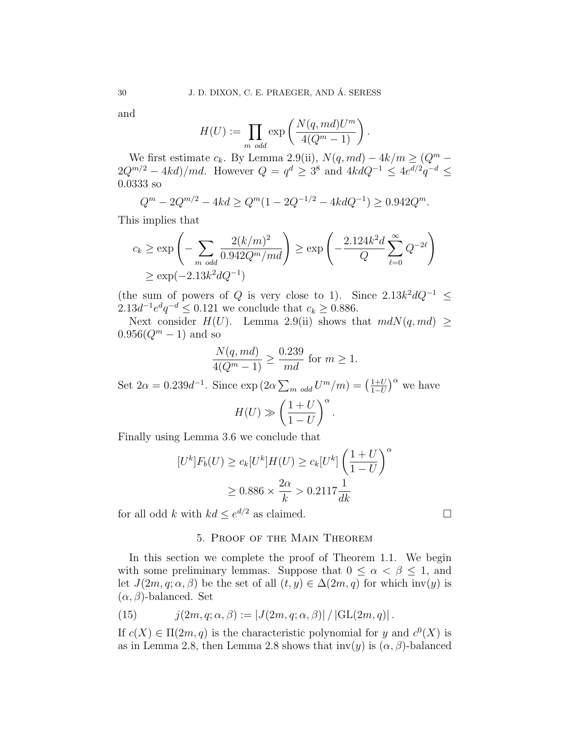and

$$
H(U) := \prod_{m \text{ odd}} \exp\left(\frac{N(q, md)U^m}{4(Q^m - 1)}\right).
$$

We first estimate  $c_k$ . By Lemma 2.9(ii),  $N(q, md) - 4k/m \geq (Q^m 2Q^{m/2} - 4kd$ /*md*. However  $Q = q^d \geq 3^8$  and  $4kdQ^{-1} \leq 4e^{d/2}q^{-d} \leq$ 0.0333 so

$$
Q^{m} - 2Q^{m/2} - 4kd \ge Q^{m}(1 - 2Q^{-1/2} - 4kdQ^{-1}) \ge 0.942Q^{m}.
$$

This implies that

$$
c_k \ge \exp\left(-\sum_{m \text{ odd}} \frac{2(k/m)^2}{0.942Q^m/md}\right) \ge \exp\left(-\frac{2.124k^2d}{Q}\sum_{\ell=0}^{\infty} Q^{-2\ell}\right)
$$
  
 
$$
\ge \exp(-2.13k^2dQ^{-1})
$$

(the sum of powers of Q is very close to 1). Since  $2.13k^2dQ^{-1} \leq$  $2.13d^{-1}e^{d}q^{-d} \leq 0.121$  we conclude that  $c_k \geq 0.886$ .

Next consider  $H(U)$ . Lemma 2.9(ii) shows that  $mdN(q, md) \ge$  $0.956(Q^m - 1)$  and so

$$
\frac{N(q, md)}{4(Q^m - 1)} \ge \frac{0.239}{md} \text{ for } m \ge 1.
$$

Set  $2\alpha = 0.239d^{-1}$ . Since  $\exp(2\alpha \sum_{m \text{ odd}} U^m/m) = \left(\frac{1+U}{1-U}\right)^m$  $\frac{1+U}{1-U}$ <sup>o</sup> we have  $H(U) \gg$  $(1 + U)$  $1-U$  $\setminus^{\alpha}$ .

Finally using Lemma 3.6 we conclude that

$$
[U^k]F_b(U) \ge c_k[U^k]H(U) \ge c_k[U^k]\left(\frac{1+U}{1-U}\right)^\alpha
$$

$$
\ge 0.886 \times \frac{2\alpha}{k} > 0.2117\frac{1}{dk}
$$

for all odd k with  $kd \leq e^{d/2}$  as claimed.

# 5. Proof of the Main Theorem

In this section we complete the proof of Theorem 1.1. We begin with some preliminary lemmas. Suppose that  $0 \leq \alpha < \beta \leq 1$ , and let  $J(2m, q; \alpha, \beta)$  be the set of all  $(t, y) \in \Delta(2m, q)$  for which inv(y) is  $(\alpha, \beta)$ -balanced. Set

(15) 
$$
j(2m, q; \alpha, \beta) := |J(2m, q; \alpha, \beta)| / |GL(2m, q)|.
$$

If  $c(X) \in \Pi(2m, q)$  is the characteristic polynomial for y and  $c^0(X)$  is as in Lemma 2.8, then Lemma 2.8 shows that  $inv(y)$  is  $(\alpha, \beta)$ -balanced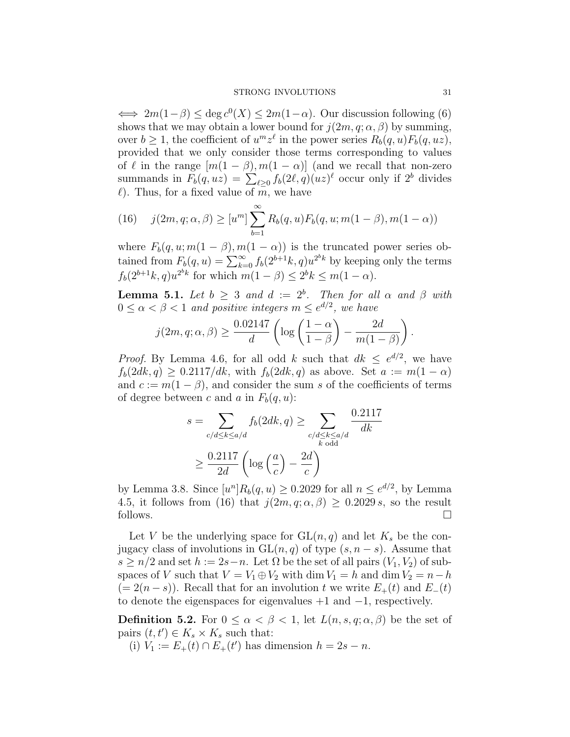$\iff 2m(1-\beta) \leq \deg c^0(X) \leq 2m(1-\alpha)$ . Our discussion following (6) shows that we may obtain a lower bound for  $j(2m, q; \alpha, \beta)$  by summing, over  $b \geq 1$ , the coefficient of  $u^m z^{\ell}$  in the power series  $R_b(q, u)F_b(q, uz)$ , provided that we only consider those terms corresponding to values of  $\ell$  in the range  $[m(1 - \beta), m(1 - \alpha)]$  (and we recall that non-zero summands in  $F_b(q,uz) = \sum_{\ell \geq 0} f_b(2\ell, q)(uz)^{\ell}$  occur only if  $2^b$  divides  $\ell$ ). Thus, for a fixed value of m, we have

(16) 
$$
j(2m, q; \alpha, \beta) \ge [u^m] \sum_{b=1}^{\infty} R_b(q, u) F_b(q, u; m(1 - \beta), m(1 - \alpha))
$$

where  $F_b(q, u; m(1 - \beta), m(1 - \alpha))$  is the truncated power series obtained from  $F_b(q, u) = \sum_{k=0}^{\infty} f_b(2^{b+1}k, q)u^{2^k}$  by keeping only the terms  $f_b(2^{b+1}k, q)u^{2^b k}$  for which  $m(1 - \beta) \leq 2^b k \leq m(1 - \alpha)$ .

**Lemma 5.1.** Let  $b \geq 3$  and  $d := 2^b$ . Then for all  $\alpha$  and  $\beta$  with  $0 \leq \alpha < \beta < 1$  and positive integers  $m \leq e^{d/2}$ , we have

$$
j(2m, q; \alpha, \beta) \ge \frac{0.02147}{d} \left( \log \left( \frac{1-\alpha}{1-\beta} \right) - \frac{2d}{m(1-\beta)} \right).
$$

*Proof.* By Lemma 4.6, for all odd k such that  $dk \leq e^{d/2}$ , we have  $f_b(2dk, q) \geq 0.2117/dk$ , with  $f_b(2dk, q)$  as above. Set  $a := m(1 - \alpha)$ and  $c := m(1 - \beta)$ , and consider the sum s of the coefficients of terms of degree between c and a in  $F_b(q, u)$ :

$$
s = \sum_{c/d \le k \le a/d} f_b(2dk, q) \ge \sum_{\substack{c/d \le k \le a/d \\ k \text{ odd}}} \frac{0.2117}{dk}
$$

$$
\ge \frac{0.2117}{2d} \left( \log \left( \frac{a}{c} \right) - \frac{2d}{c} \right)
$$

by Lemma 3.8. Since  $[u^n]R_b(q, u) \ge 0.2029$  for all  $n \le e^{d/2}$ , by Lemma 4.5, it follows from (16) that  $j(2m, q; \alpha, \beta) \geq 0.2029 s$ , so the result follows.  $\Box$ 

Let V be the underlying space for  $GL(n, q)$  and let  $K_s$  be the conjugacy class of involutions in  $GL(n, q)$  of type  $(s, n-s)$ . Assume that  $s \geq n/2$  and set  $h := 2s - n$ . Let  $\Omega$  be the set of all pairs  $(V_1, V_2)$  of subspaces of V such that  $V = V_1 \oplus V_2$  with dim  $V_1 = h$  and dim  $V_2 = n - h$  $(= 2(n - s))$ . Recall that for an involution t we write  $E_{+}(t)$  and  $E_{-}(t)$ to denote the eigenspaces for eigenvalues  $+1$  and  $-1$ , respectively.

**Definition 5.2.** For  $0 \leq \alpha < \beta < 1$ , let  $L(n, s, q; \alpha, \beta)$  be the set of pairs  $(t, t') \in K_s \times K_s$  such that:

(i)  $V_1 := E_+(t) \cap E_+(t')$  has dimension  $h = 2s - n$ .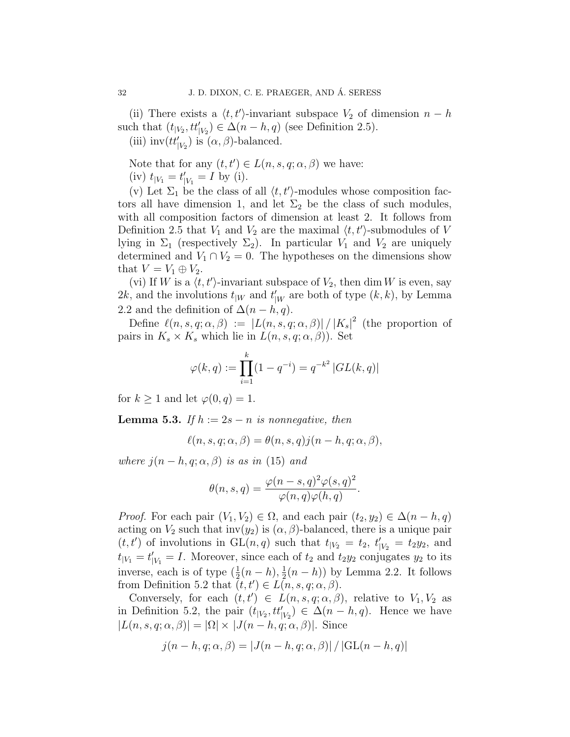(ii) There exists a  $\langle t, t'\rangle$ -invariant subspace  $V_2$  of dimension  $n - h$ such that  $(t_{|V_2}, tt'_{|V_2}) \in \Delta(n-h, q)$  (see Definition 2.5). (iii)  $\mathrm{inv}(tt'_{|V_2})$  is  $(\alpha, \beta)$ -balanced.

Note that for any  $(t, t') \in L(n, s, q; \alpha, \beta)$  we have: (iv)  $t_{|V_1} = t'_{|V_1} = I$  by (i).

(v) Let  $\Sigma_1$  be the class of all  $\langle t, t'\rangle$ -modules whose composition factors all have dimension 1, and let  $\Sigma_2$  be the class of such modules, with all composition factors of dimension at least 2. It follows from Definition 2.5 that  $V_1$  and  $V_2$  are the maximal  $\langle t, t'\rangle$ -submodules of V lying in  $\Sigma_1$  (respectively  $\Sigma_2$ ). In particular  $V_1$  and  $V_2$  are uniquely determined and  $V_1 \cap V_2 = 0$ . The hypotheses on the dimensions show that  $V = V_1 \oplus V_2$ .

(vi) If W is a  $\langle t, t'\rangle$ -invariant subspace of  $V_2$ , then dim W is even, say 2k, and the involutions  $t_{|W}$  and  $t'_{|W}$  are both of type  $(k, k)$ , by Lemma 2.2 and the definition of  $\Delta(n-h,q)$ .

Define  $\ell(n, s, q; \alpha, \beta) := |L(n, s, q; \alpha, \beta)| / |K_s|^2$  (the proportion of pairs in  $K_s \times K_s$  which lie in  $L(n, s, q; \alpha, \beta)$ . Set

$$
\varphi(k,q) := \prod_{i=1}^{k} (1 - q^{-i}) = q^{-k^2} |GL(k,q)|
$$

for  $k \geq 1$  and let  $\varphi(0, q) = 1$ .

**Lemma 5.3.** If  $h := 2s - n$  is nonnegative, then

$$
\ell(n, s, q; \alpha, \beta) = \theta(n, s, q) j(n - h, q; \alpha, \beta),
$$

where  $j(n-h,q;\alpha,\beta)$  is as in (15) and

$$
\theta(n,s,q) = \frac{\varphi(n-s,q)^2 \varphi(s,q)^2}{\varphi(n,q)\varphi(h,q)}.
$$

*Proof.* For each pair  $(V_1, V_2) \in \Omega$ , and each pair  $(t_2, y_2) \in \Delta(n - h, q)$ acting on  $V_2$  such that inv( $y_2$ ) is  $(\alpha, \beta)$ -balanced, there is a unique pair  $(t, t')$  of involutions in GL $(n, q)$  such that  $t_{|V_2} = t_2, t'_{|V_2} = t_2y_2$ , and  $t_{|V_1} = t'_{|V_1} = I$ . Moreover, since each of  $t_2$  and  $t_2y_2$  conjugates  $y_2$  to its inverse, each is of type  $(\frac{1}{2}(n-h), \frac{1}{2})$  $\frac{1}{2}(n-h)$  by Lemma 2.2. It follows from Definition 5.2 that  $(t, t') \in L(n, s, q; \alpha, \beta)$ .

Conversely, for each  $(t, t') \in L(n, s, q; \alpha, \beta)$ , relative to  $V_1, V_2$  as in Definition 5.2, the pair  $(t_{|V_2}, t t'_{|V_2}) \in \Delta(n-h, q)$ . Hence we have  $|L(n, s, q; \alpha, \beta)| = |\Omega| \times |J(n-h, q; \alpha, \beta)|$ . Since

$$
j(n-h,q;\alpha,\beta) = |J(n-h,q;\alpha,\beta)| / |GL(n-h,q)|
$$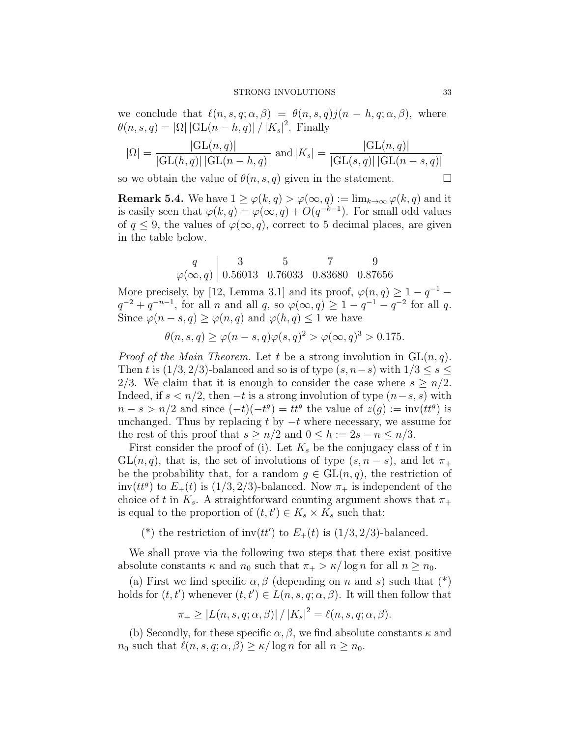#### STRONG INVOLUTIONS 33

we conclude that  $\ell(n, s, q; \alpha, \beta) = \theta(n, s, q)j(n - h, q; \alpha, \beta)$ , where  $\theta(n, s, q) = |\Omega| |\mathrm{GL}(n - h, q)| / |K_s|^2$ . Finally

$$
|\Omega| = \frac{|\text{GL}(n, q)|}{|\text{GL}(h, q)| |\text{GL}(n - h, q)|} \text{ and } |K_s| = \frac{|\text{GL}(n, q)|}{|\text{GL}(s, q)| |\text{GL}(n - s, q)|}
$$

so we obtain the value of  $\theta(n, s, q)$  given in the statement.

**Remark 5.4.** We have  $1 \ge \varphi(k,q) > \varphi(\infty,q) := \lim_{k \to \infty} \varphi(k,q)$  and it is easily seen that  $\varphi(k,q) = \varphi(\infty,q) + O(q^{-k-1})$ . For small odd values of  $q \leq 9$ , the values of  $\varphi(\infty, q)$ , correct to 5 decimal places, are given in the table below.

$$
\begin{array}{c|ccccc}\nq & 3 & 5 & 7 & 9 \\
\varphi(\infty, q) & 0.56013 & 0.76033 & 0.83680 & 0.87656\n\end{array}
$$

More precisely, by [12, Lemma 3.1] and its proof,  $\varphi(n,q) \geq 1 - q^{-1}$  $q^{-2} + q^{-n-1}$ , for all n and all q, so  $\varphi(\infty, q) \geq 1 - q^{-1} - q^{-2}$  for all q. Since  $\varphi(n-s,q) \geq \varphi(n,q)$  and  $\varphi(h,q) \leq 1$  we have

$$
\theta(n,s,q) \ge \varphi(n-s,q)\varphi(s,q)^2 > \varphi(\infty,q)^3 > 0.175.
$$

*Proof of the Main Theorem.* Let t be a strong involution in  $GL(n, q)$ . Then t is  $(1/3, 2/3)$ -balanced and so is of type  $(s, n-s)$  with  $1/3 \leq s \leq$ 2/3. We claim that it is enough to consider the case where  $s \geq n/2$ . Indeed, if  $s < n/2$ , then  $-t$  is a strong involution of type  $(n-s, s)$  with  $n - s > n/2$  and since  $(-t)(-t^g) = tt^g$  the value of  $z(g) := inv(tt^g)$  is unchanged. Thus by replacing t by  $-t$  where necessary, we assume for the rest of this proof that  $s \geq n/2$  and  $0 \leq h := 2s - n \leq n/3$ .

First consider the proof of (i). Let  $K_s$  be the conjugacy class of t in  $GL(n, q)$ , that is, the set of involutions of type  $(s, n-s)$ , and let  $\pi_{+}$ be the probability that, for a random  $g \in GL(n,q)$ , the restriction of  $inv(tt^g)$  to  $E_+(t)$  is  $(1/3, 2/3)$ -balanced. Now  $\pi_+$  is independent of the choice of t in  $K_s$ . A straightforward counting argument shows that  $\pi_+$ is equal to the proportion of  $(t, t') \in K_s \times K_s$  such that:

(\*) the restriction of inv $(tt')$  to  $E_+(t)$  is  $(1/3, 2/3)$ -balanced.

We shall prove via the following two steps that there exist positive absolute constants  $\kappa$  and  $n_0$  such that  $\pi_+ > \kappa / \log n$  for all  $n \geq n_0$ .

(a) First we find specific  $\alpha, \beta$  (depending on n and s) such that  $(*)$ holds for  $(t, t')$  whenever  $(t, t') \in L(n, s, q; \alpha, \beta)$ . It will then follow that

$$
\pi_{+} \ge |L(n, s, q; \alpha, \beta)| / |K_s|^2 = \ell(n, s, q; \alpha, \beta).
$$

(b) Secondly, for these specific  $\alpha, \beta$ , we find absolute constants  $\kappa$  and  $n_0$  such that  $\ell(n, s, q; \alpha, \beta) \geq \kappa/\log n$  for all  $n \geq n_0$ .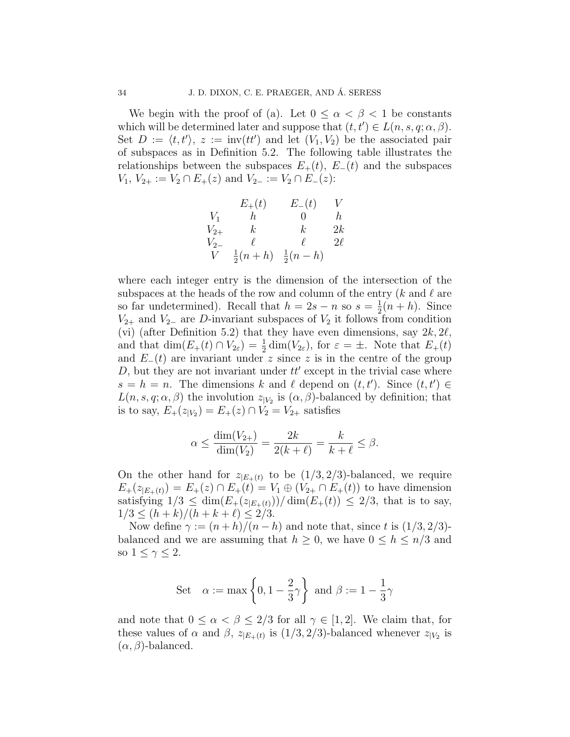We begin with the proof of (a). Let  $0 \leq \alpha < \beta < 1$  be constants which will be determined later and suppose that  $(t, t') \in L(n, s, q; \alpha, \beta)$ . Set  $D := \langle t, t' \rangle, z := inv(tt')$  and let  $(V_1, V_2)$  be the associated pair of subspaces as in Definition 5.2. The following table illustrates the relationships between the subspaces  $E_{+}(t)$ ,  $E_{-}(t)$  and the subspaces  $V_1, V_{2+} := V_2 \cap E_+(z)$  and  $V_{2-} := V_2 \cap E_-(z)$ :

$$
\begin{array}{ccc}\n & E_{+}(t) & E_{-}(t) & V \\
V_{1} & h & 0 & h \\
V_{2+} & k & k & 2k \\
V_{2-} & \ell & \ell & 2\ell \\
V & \frac{1}{2}(n+h) & \frac{1}{2}(n-h)\n\end{array}
$$

where each integer entry is the dimension of the intersection of the subspaces at the heads of the row and column of the entry  $(k \text{ and } \ell \text{ are})$ so far undetermined). Recall that  $h = 2s - n$  so  $s = \frac{1}{2}$  $\frac{1}{2}(n+h)$ . Since  $V_{2+}$  and  $V_{2-}$  are D-invariant subspaces of  $V_2$  it follows from condition (vi) (after Definition 5.2) that they have even dimensions, say  $2k$ ,  $2\ell$ , and that  $\dim(E_+(t) \cap V_{2\varepsilon}) = \frac{1}{2} \dim(V_{2\varepsilon})$ , for  $\varepsilon = \pm$ . Note that  $E_+(t)$ and  $E_{-}(t)$  are invariant under z since z is in the centre of the group  $D$ , but they are not invariant under  $tt'$  except in the trivial case where  $s = h = n$ . The dimensions k and l depend on  $(t, t')$ . Since  $(t, t') \in$  $L(n, s, q; \alpha, \beta)$  the involution  $z_{|V_2}$  is  $(\alpha, \beta)$ -balanced by definition; that is to say,  $E_+(z_{|V_2}) = E_+(z) \cap V_2 = V_{2+}$  satisfies

$$
\alpha \le \frac{\dim(V_{2+})}{\dim(V_2)} = \frac{2k}{2(k+\ell)} = \frac{k}{k+\ell} \le \beta.
$$

On the other hand for  $z_{|E_{+}(t)}$  to be  $(1/3, 2/3)$ -balanced, we require  $E_{+}(z_{|E_{+}(t)}) = E_{+}(z) \cap E_{+}(t) = V_1 \oplus (V_2 \cap E_{+}(t))$  to have dimension satisfying  $1/3 \leq \dim(E_+(z_{|E_+(t)}))/\dim(E_+(t)) \leq 2/3$ , that is to say,  $1/3 \le (h+k)/(h+k+\ell) \le 2/3.$ 

Now define  $\gamma := (n+h)/(n-h)$  and note that, since t is  $(1/3, 2/3)$ balanced and we are assuming that  $h \geq 0$ , we have  $0 \leq h \leq n/3$  and so  $1 \leq \gamma \leq 2$ .

Set 
$$
\alpha := \max \left\{ 0, 1 - \frac{2}{3} \gamma \right\}
$$
 and  $\beta := 1 - \frac{1}{3} \gamma$ 

and note that  $0 \leq \alpha < \beta \leq 2/3$  for all  $\gamma \in [1, 2]$ . We claim that, for these values of  $\alpha$  and  $\beta$ ,  $z_{|E_{+}(t)}$  is  $(1/3, 2/3)$ -balanced whenever  $z_{|V_2}$  is  $(\alpha, \beta)$ -balanced.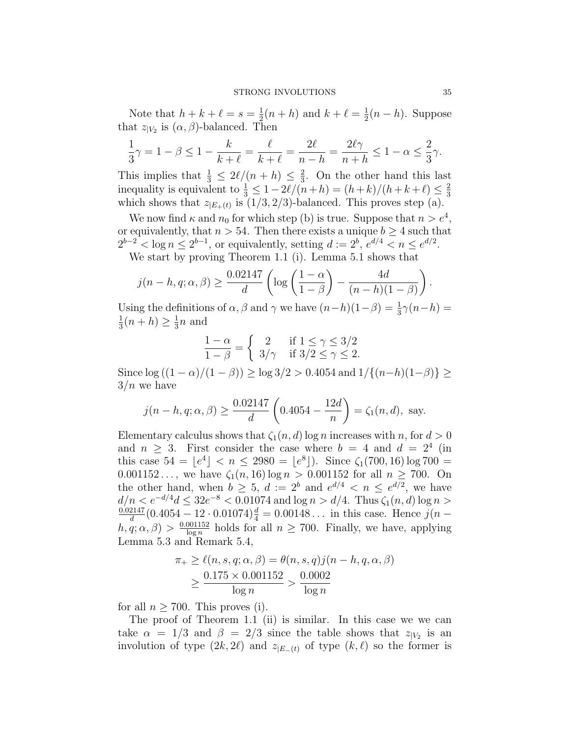Note that  $h + k + \ell = s = \frac{1}{2}$  $\frac{1}{2}(n+h)$  and  $k+\ell = \frac{1}{2}$  $\frac{1}{2}(n-h)$ . Suppose that  $z_{|V_2}$  is  $(\alpha, \beta)$ -balanced. Then

$$
\frac{1}{3}\gamma = 1 - \beta \le 1 - \frac{k}{k+\ell} = \frac{\ell}{k+\ell} = \frac{2\ell}{n-h} = \frac{2\ell\gamma}{n+h} \le 1 - \alpha \le \frac{2}{3}\gamma.
$$

This implies that  $\frac{1}{3} \leq 2\ell/(n+h) \leq \frac{2}{3}$  $\frac{2}{3}$ . On the other hand this last inequality is equivalent to  $\frac{1}{3} \leq 1 - 2\ell/(n+h) = (h+k)/(h+k+\ell) \leq \frac{2}{3}$ 3 which shows that  $z_{|E_{+}(t)}$  is  $(1/3, 2/3)$ -balanced. This proves step (a).

We now find  $\kappa$  and  $n_0$  for which step (b) is true. Suppose that  $n > e^4$ , or equivalently, that  $n > 54$ . Then there exists a unique  $b \geq 4$  such that  $2^{b-2} < \log n \le 2^{b-1}$ , or equivalently, setting  $d := 2^b$ ,  $e^{d/4} < n \le e^{d/2}$ .

We start by proving Theorem 1.1 (i). Lemma 5.1 shows that

$$
j(n-h,q;\alpha,\beta) \ge \frac{0.02147}{d} \left( \log \left( \frac{1-\alpha}{1-\beta} \right) - \frac{4d}{(n-h)(1-\beta)} \right).
$$

Using the definitions of  $\alpha$ ,  $\beta$  and  $\gamma$  we have  $(n-h)(1-\beta) = \frac{1}{3}\gamma(n-h) =$ 1  $\frac{1}{3}(n+h) \geq \frac{1}{3}$  $\frac{1}{3}n$  and

$$
\frac{1-\alpha}{1-\beta} = \begin{cases} 2 & \text{if } 1 \le \gamma \le 3/2 \\ 3/\gamma & \text{if } 3/2 \le \gamma \le 2. \end{cases}
$$

Since  $\log ((1 - \alpha)/(1 - \beta))$  ≥  $\log 3/2 > 0.4054$  and  $1/{(n-h)(1-\beta)}$  ≥  $3/n$  we have

$$
j(n - h, q; \alpha, \beta) \ge \frac{0.02147}{d} \left( 0.4054 - \frac{12d}{n} \right) = \zeta_1(n, d), \text{ say.}
$$

Elementary calculus shows that  $\zeta_1(n, d)$  log n increases with n, for  $d > 0$ and  $n \geq 3$ . First consider the case where  $b = 4$  and  $d = 2^4$  (in this case  $54 = \lfloor e^4 \rfloor < n \leq 2980 = \lfloor e^8 \rfloor$ ). Since  $\zeta_1(700, 16) \log 700 =$  $0.001152...$ , we have  $\zeta_1(n, 16) \log n > 0.001152$  for all  $n \ge 700$ . On the other hand, when  $b \geq 5$ ,  $d := 2^b$  and  $e^{d/4} < n \leq e^{d/2}$ , we have  $d/n < e^{-d/4}d \leq 32e^{-8} < 0.01074$  and  $\log n > d/4$ . Thus  $\zeta_1(n, d) \log n > d/4$ 0.02147  $\frac{2147}{d}(0.4054 - 12 \cdot 0.01074) \frac{d}{4} = 0.00148...$  in this case. Hence  $j(n$  $h, q; \alpha, \beta) > \frac{0.001152}{\log n}$  $\frac{1001152}{\log n}$  holds for all  $n \geq 700$ . Finally, we have, applying Lemma 5.3 and Remark 5.4,

$$
\pi_+ \ge \ell(n, s, q; \alpha, \beta) = \theta(n, s, q)j(n - h, q, \alpha, \beta)
$$
  
 
$$
\ge \frac{0.175 \times 0.001152}{\log n} > \frac{0.0002}{\log n}
$$

for all  $n \geq 700$ . This proves (i).

The proof of Theorem 1.1 (ii) is similar. In this case we we can take  $\alpha = 1/3$  and  $\beta = 2/3$  since the table shows that  $z_{|V_2}$  is an involution of type  $(2k, 2\ell)$  and  $z_{|E_{-}(t)}$  of type  $(k, \ell)$  so the former is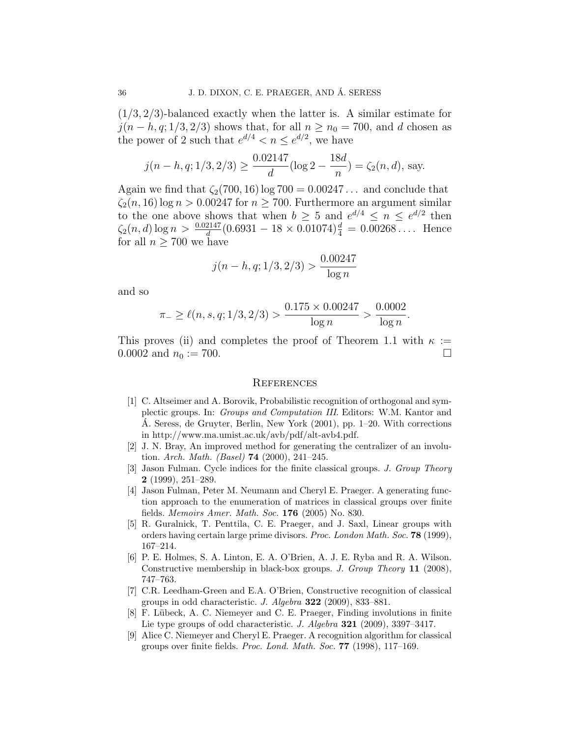$(1/3, 2/3)$ -balanced exactly when the latter is. A similar estimate for  $j(n-h, q; 1/3, 2/3)$  shows that, for all  $n \geq n_0 = 700$ , and d chosen as the power of 2 such that  $e^{d/4} < n \le e^{d/2}$ , we have

$$
j(n - h, q; 1/3, 2/3) \ge \frac{0.02147}{d} (\log 2 - \frac{18d}{n}) = \zeta_2(n, d), \text{ say.}
$$

Again we find that  $\zeta_2(700, 16)$  log  $700 = 0.00247...$  and conclude that  $\zeta_2(n, 16)$  log  $n > 0.00247$  for  $n > 700$ . Furthermore an argument similar to the one above shows that when  $b \geq 5$  and  $e^{d/4} \leq n \leq e^{d/2}$  then  $\zeta_2(n,d) \log n > \frac{0.02147}{d} (0.6931 - 18 \times 0.01074)^{\frac{d}{4}} = 0.00268 \dots$  Hence for all  $n \geq 700$  we have

$$
j(n-h,q;1/3,2/3) > \frac{0.00247}{\log n}
$$

and so

$$
\pi_{-} \ge \ell(n, s, q; 1/3, 2/3) > \frac{0.175 \times 0.00247}{\log n} > \frac{0.0002}{\log n}.
$$

This proves (ii) and completes the proof of Theorem 1.1 with  $\kappa :=$ 0.0002 and  $n_0 := 700$ .

### **REFERENCES**

- [1] C. Altseimer and A. Borovik, Probabilistic recognition of orthogonal and symplectic groups. In: Groups and Computation III. Editors: W.M. Kantor and A. Seress, de Gruyter, Berlin, New York (2001), pp. 1–20. With corrections ´ in http://www.ma.umist.ac.uk/avb/pdf/alt-avb4.pdf.
- [2] J. N. Bray, An improved method for generating the centralizer of an involution. Arch. Math. (Basel) 74 (2000), 241–245.
- [3] Jason Fulman. Cycle indices for the finite classical groups. J. Group Theory 2 (1999), 251–289.
- [4] Jason Fulman, Peter M. Neumann and Cheryl E. Praeger. A generating function approach to the enumeration of matrices in classical groups over finite fields. Memoirs Amer. Math. Soc. 176 (2005) No. 830.
- [5] R. Guralnick, T. Penttila, C. E. Praeger, and J. Saxl, Linear groups with orders having certain large prime divisors. Proc. London Math. Soc. 78 (1999), 167–214.
- [6] P. E. Holmes, S. A. Linton, E. A. O'Brien, A. J. E. Ryba and R. A. Wilson. Constructive membership in black-box groups. J. Group Theory 11 (2008), 747–763.
- [7] C.R. Leedham-Green and E.A. O'Brien, Constructive recognition of classical groups in odd characteristic. J. Algebra  $322$  (2009), 833–881.
- [8] F. Lübeck, A. C. Niemeyer and C. E. Praeger, Finding involutions in finite Lie type groups of odd characteristic. J. Algebra 321 (2009), 3397–3417.
- [9] Alice C. Niemeyer and Cheryl E. Praeger. A recognition algorithm for classical groups over finite fields. Proc. Lond. Math. Soc. 77 (1998), 117–169.